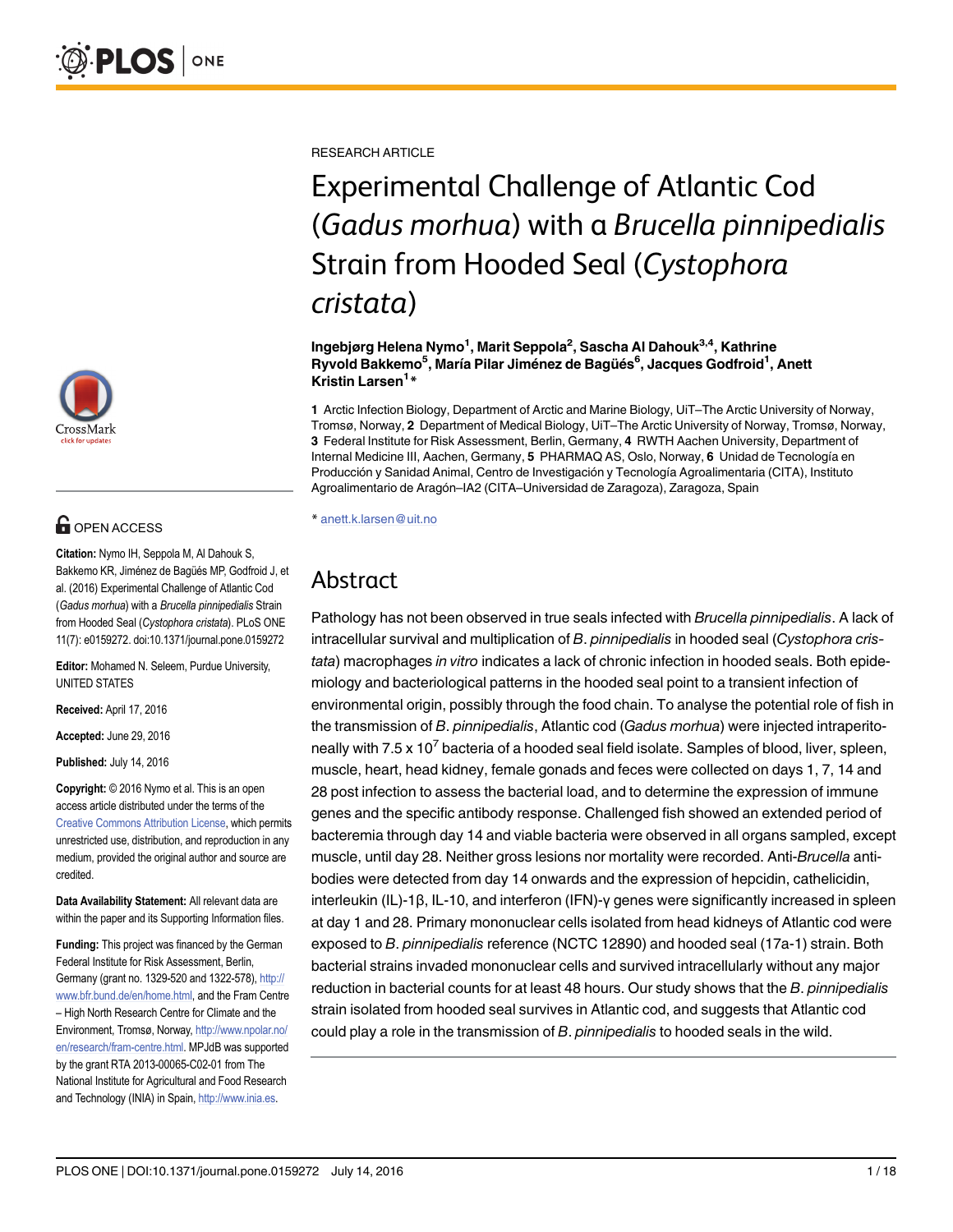

# **OPEN ACCESS**

Citation: Nymo IH, Seppola M, Al Dahouk S, Bakkemo KR, Jiménez de Bagüés MP, Godfroid J, et al. (2016) Experimental Challenge of Atlantic Cod (Gadus morhua) with a Brucella pinnipedialis Strain from Hooded Seal (Cystophora cristata). PLoS ONE 11(7): e0159272. doi:10.1371/journal.pone.0159272

Editor: Mohamed N. Seleem, Purdue University, UNITED STATES

Received: April 17, 2016

Accepted: June 29, 2016

Published: July 14, 2016

Copyright: © 2016 Nymo et al. This is an open access article distributed under the terms of the [Creative Commons Attribution License,](http://creativecommons.org/licenses/by/4.0/) which permits unrestricted use, distribution, and reproduction in any medium, provided the original author and source are credited.

Data Availability Statement: All relevant data are within the paper and its Supporting Information files.

Funding: This project was financed by the German Federal Institute for Risk Assessment, Berlin, Germany (grant no. 1329-520 and 1322-578), [http://](http://www.bfr.bund.de/en/home.html) [www.bfr.bund.de/en/home.html](http://www.bfr.bund.de/en/home.html), and the Fram Centre – High North Research Centre for Climate and the Environment, Tromsø, Norway, [http://www.npolar.no/](http://www.npolar.no/en/research/fram-centre.html) [en/research/fram-centre.html.](http://www.npolar.no/en/research/fram-centre.html) MPJdB was supported by the grant RTA 2013-00065-C02-01 from The National Institute for Agricultural and Food Research and Technology (INIA) in Spain, [http://www.inia.es.](http://www.inia.es)

RESEARCH ARTICLE

# Experimental Challenge of Atlantic Cod (Gadus morhua) with a Brucella pinnipedialis Strain from Hooded Seal (Cystophora cristata)

Ingebjørg Helena Nymo<sup>1</sup>, Marit Seppola<sup>2</sup>, Sascha Al Dahouk<sup>3,4</sup>, Kathrine Ryvold Bakkemo<sup>5</sup>, María Pilar Jiménez de Bagüés<sup>6</sup>, Jacques Godfroid<sup>1</sup>, Anett Kristin Larsen<sup>1</sup>\*

1 Arctic Infection Biology, Department of Arctic and Marine Biology, UiT–The Arctic University of Norway, Tromsø, Norway, 2 Department of Medical Biology, UiT–The Arctic University of Norway, Tromsø, Norway, 3 Federal Institute for Risk Assessment, Berlin, Germany, 4 RWTH Aachen University, Department of Internal Medicine III, Aachen, Germany, 5 PHARMAQ AS, Oslo, Norway, 6 Unidad de Tecnología en Producción y Sanidad Animal, Centro de Investigación y Tecnología Agroalimentaria (CITA), Instituto Agroalimentario de Aragón–IA2 (CITA–Universidad de Zaragoza), Zaragoza, Spain

\* anett.k.larsen@uit.no

# Abstract

Pathology has not been observed in true seals infected with Brucella pinnipedialis. A lack of intracellular survival and multiplication of B. pinnipedialis in hooded seal (Cystophora cristata) macrophages in vitro indicates a lack of chronic infection in hooded seals. Both epidemiology and bacteriological patterns in the hooded seal point to a transient infection of environmental origin, possibly through the food chain. To analyse the potential role of fish in the transmission of B. pinnipedialis, Atlantic cod (Gadus morhua) were injected intraperitoneally with 7.5 x 10<sup>7</sup> bacteria of a hooded seal field isolate. Samples of blood, liver, spleen, muscle, heart, head kidney, female gonads and feces were collected on days 1, 7, 14 and 28 post infection to assess the bacterial load, and to determine the expression of immune genes and the specific antibody response. Challenged fish showed an extended period of bacteremia through day 14 and viable bacteria were observed in all organs sampled, except muscle, until day 28. Neither gross lesions nor mortality were recorded. Anti-Brucella antibodies were detected from day 14 onwards and the expression of hepcidin, cathelicidin, interleukin (IL)-1β, IL-10, and interferon (IFN)-γ genes were significantly increased in spleen at day 1 and 28. Primary mononuclear cells isolated from head kidneys of Atlantic cod were exposed to B. pinnipedialis reference (NCTC 12890) and hooded seal (17a-1) strain. Both bacterial strains invaded mononuclear cells and survived intracellularly without any major reduction in bacterial counts for at least 48 hours. Our study shows that the B. pinnipedialis strain isolated from hooded seal survives in Atlantic cod, and suggests that Atlantic cod could play a role in the transmission of B. pinnipedialis to hooded seals in the wild.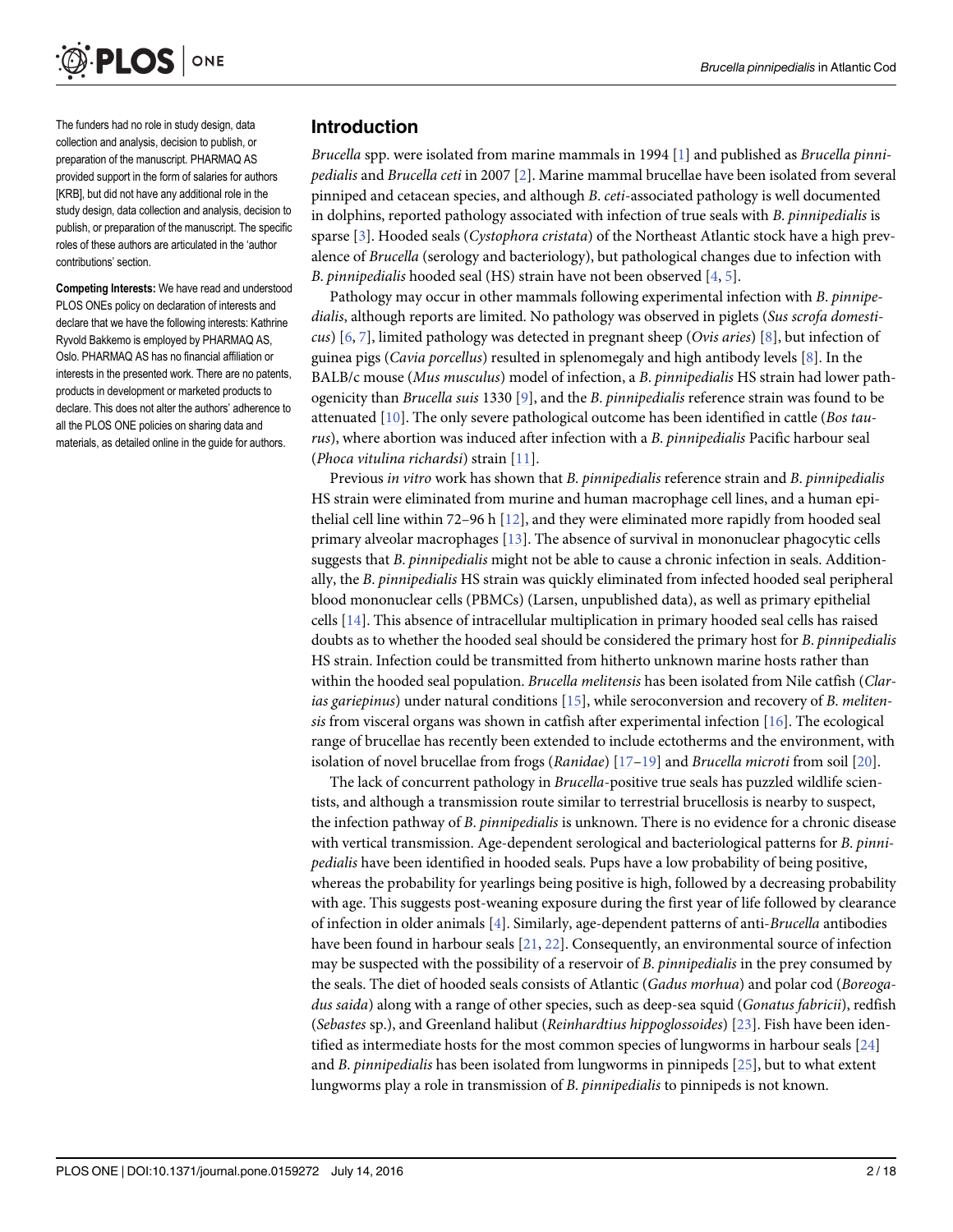<span id="page-1-0"></span>

The funders had no role in study design, data collection and analysis, decision to publish, or preparation of the manuscript. PHARMAQ AS provided support in the form of salaries for authors [KRB], but did not have any additional role in the study design, data collection and analysis, decision to publish, or preparation of the manuscript. The specific roles of these authors are articulated in the 'author contributions' section.

Competing Interests: We have read and understood PLOS ONEs policy on declaration of interests and declare that we have the following interests: Kathrine Ryvold Bakkemo is employed by PHARMAQ AS, Oslo. PHARMAQ AS has no financial affiliation or interests in the presented work. There are no patents, products in development or marketed products to declare. This does not alter the authors' adherence to all the PLOS ONE policies on sharing data and materials, as detailed online in the guide for authors.

#### Introduction

Brucella spp. were isolated from marine mammals in [1](#page-13-0)994 [1] and published as Brucella pinnipedialis and Brucella ceti in 2007 [[2](#page-13-0)]. Marine mammal brucellae have been isolated from several pinniped and cetacean species, and although B. ceti-associated pathology is well documented in dolphins, reported pathology associated with infection of true seals with B. pinnipedialis is sparse  $[3]$  $[3]$ . Hooded seals (*Cystophora cristata*) of the Northeast Atlantic stock have a high prevalence of Brucella (serology and bacteriology), but pathological changes due to infection with B. pinnipedialis hooded seal (HS) strain have not been observed [[4](#page-13-0), [5\]](#page-14-0).

Pathology may occur in other mammals following experimental infection with B. pinnipedialis, although reports are limited. No pathology was observed in piglets (Sus scrofa domesticus)  $[6, 7]$  $[6, 7]$  $[6, 7]$  $[6, 7]$ , limited pathology was detected in pregnant sheep (*Ovis aries*) [[8](#page-14-0)], but infection of guinea pigs (Cavia porcellus) resulted in splenomegaly and high antibody levels [\[8\]](#page-14-0). In the BALB/c mouse (Mus musculus) model of infection, a B. pinnipedialis HS strain had lower pathogenicity than Brucella suis 1330 [[9\]](#page-14-0), and the B. pinnipedialis reference strain was found to be attenuated  $[10]$  $[10]$  $[10]$ . The only severe pathological outcome has been identified in cattle (*Bos tau*rus), where abortion was induced after infection with a B. pinnipedialis Pacific harbour seal (Phoca vitulina richardsi) strain [\[11](#page-14-0)].

Previous in vitro work has shown that B. pinnipedialis reference strain and B. pinnipedialis HS strain were eliminated from murine and human macrophage cell lines, and a human epithelial cell line within 72–96 h  $[12]$  $[12]$  $[12]$ , and they were eliminated more rapidly from hooded seal primary alveolar macrophages [\[13\]](#page-14-0). The absence of survival in mononuclear phagocytic cells suggests that B. pinnipedialis might not be able to cause a chronic infection in seals. Additionally, the B. pinnipedialis HS strain was quickly eliminated from infected hooded seal peripheral blood mononuclear cells (PBMCs) (Larsen, unpublished data), as well as primary epithelial cells [[14](#page-14-0)]. This absence of intracellular multiplication in primary hooded seal cells has raised doubts as to whether the hooded seal should be considered the primary host for B. pinnipedialis HS strain. Infection could be transmitted from hitherto unknown marine hosts rather than within the hooded seal population. Brucella melitensis has been isolated from Nile catfish (Clarias gariepinus) under natural conditions  $[15]$ , while seroconversion and recovery of B. melitensis from visceral organs was shown in catfish after experimental infection  $[16]$  $[16]$  $[16]$ . The ecological range of brucellae has recently been extended to include ectotherms and the environment, with isolation of novel brucellae from frogs (*Ranidae*)  $[17-19]$  $[17-19]$  $[17-19]$  $[17-19]$  and *Brucella microti* from soil  $[20]$  $[20]$  $[20]$ .

The lack of concurrent pathology in Brucella-positive true seals has puzzled wildlife scientists, and although a transmission route similar to terrestrial brucellosis is nearby to suspect, the infection pathway of B. pinnipedialis is unknown. There is no evidence for a chronic disease with vertical transmission. Age-dependent serological and bacteriological patterns for B. pinnipedialis have been identified in hooded seals. Pups have a low probability of being positive, whereas the probability for yearlings being positive is high, followed by a decreasing probability with age. This suggests post-weaning exposure during the first year of life followed by clearance of infection in older animals [\[4](#page-13-0)]. Similarly, age-dependent patterns of anti-Brucella antibodies have been found in harbour seals [\[21,](#page-14-0) [22\]](#page-14-0). Consequently, an environmental source of infection may be suspected with the possibility of a reservoir of B. *pinnipedialis* in the prey consumed by the seals. The diet of hooded seals consists of Atlantic (Gadus morhua) and polar cod (Boreogadus saida) along with a range of other species, such as deep-sea squid (Gonatus fabricii), redfish (Sebastes sp.), and Greenland halibut (Reinhardtius hippoglossoides) [[23](#page-14-0)]. Fish have been identified as intermediate hosts for the most common species of lungworms in harbour seals [[24](#page-14-0)] and B. pinnipedialis has been isolated from lungworms in pinnipeds [[25](#page-15-0)], but to what extent lungworms play a role in transmission of B. pinnipedialis to pinnipeds is not known.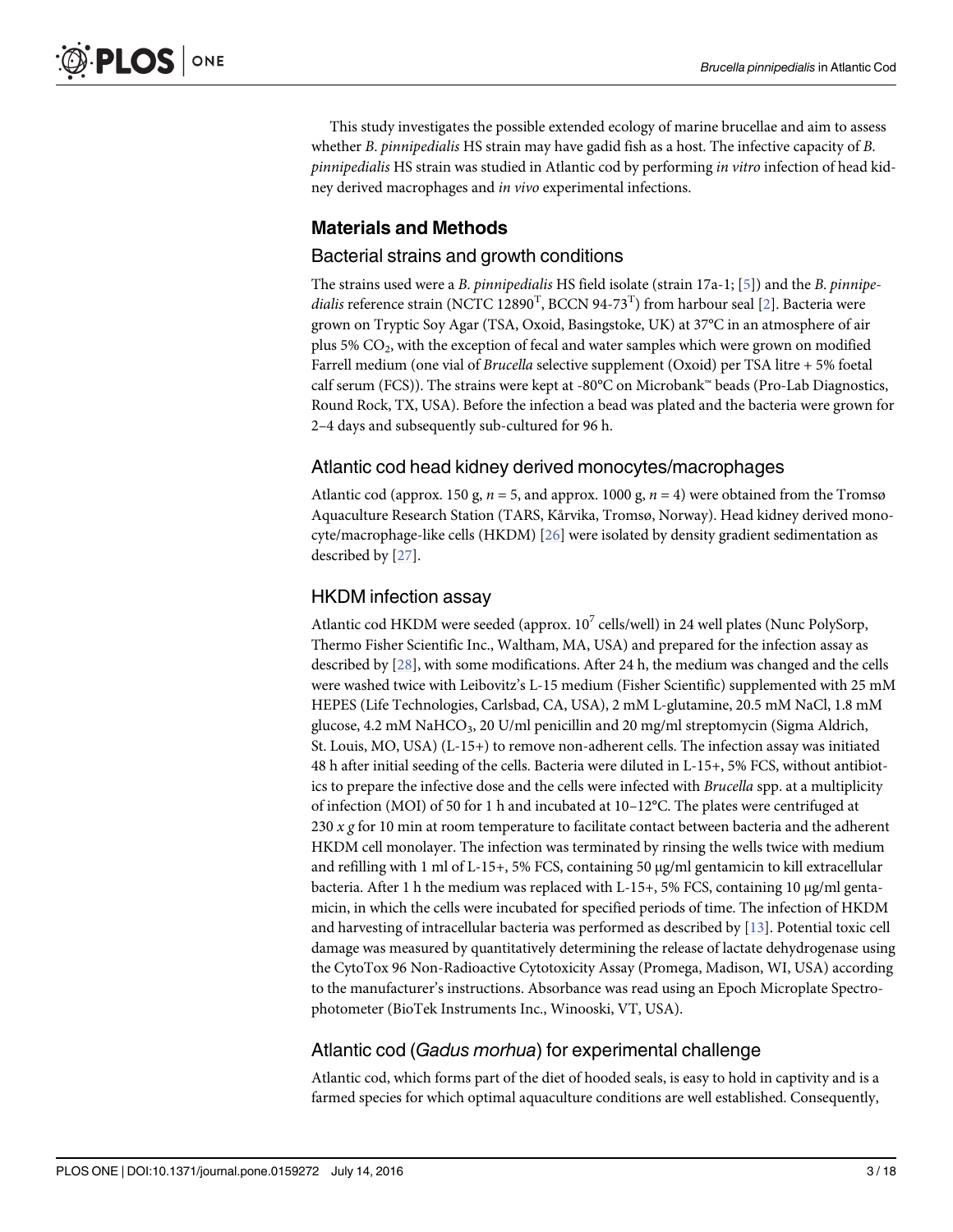<span id="page-2-0"></span>This study investigates the possible extended ecology of marine brucellae and aim to assess whether *B. pinnipedialis* HS strain may have gadid fish as a host. The infective capacity of *B*. pinnipedialis HS strain was studied in Atlantic cod by performing in vitro infection of head kidney derived macrophages and in vivo experimental infections.

# Materials and Methods

#### Bacterial strains and growth conditions

The strains used were a B. pinnipedialis HS field isolate (strain 17a-1; [[5](#page-14-0)]) and the B. pinnipe*dialis* reference strain (NCTC 12890<sup>T</sup>, BCCN 94-73<sup>T</sup>) from harbour seal [\[2](#page-13-0)]. Bacteria were grown on Tryptic Soy Agar (TSA, Oxoid, Basingstoke, UK) at 37°C in an atmosphere of air plus  $5\%$  CO<sub>2</sub>, with the exception of fecal and water samples which were grown on modified Farrell medium (one vial of Brucella selective supplement (Oxoid) per TSA litre + 5% foetal calf serum (FCS)). The strains were kept at -80 $\degree$ C on Microbank™ beads (Pro-Lab Diagnostics, Round Rock, TX, USA). Before the infection a bead was plated and the bacteria were grown for 2–4 days and subsequently sub-cultured for 96 h.

#### Atlantic cod head kidney derived monocytes/macrophages

Atlantic cod (approx. 150 g,  $n = 5$ , and approx. 1000 g,  $n = 4$ ) were obtained from the Tromsø Aquaculture Research Station (TARS, Kårvika, Tromsø, Norway). Head kidney derived monocyte/macrophage-like cells (HKDM) [\[26\]](#page-15-0) were isolated by density gradient sedimentation as described by [\[27\]](#page-15-0).

#### HKDM infection assay

Atlantic cod HKDM were seeded (approx.  $10^7$  cells/well) in 24 well plates (Nunc PolySorp, Thermo Fisher Scientific Inc., Waltham, MA, USA) and prepared for the infection assay as described by [\[28\]](#page-15-0), with some modifications. After 24 h, the medium was changed and the cells were washed twice with Leibovitz's L-15 medium (Fisher Scientific) supplemented with 25 mM HEPES (Life Technologies, Carlsbad, CA, USA), 2 mM L-glutamine, 20.5 mM NaCl, 1.8 mM glucose, 4.2 mM NaHCO<sub>3</sub>, 20 U/ml penicillin and 20 mg/ml streptomycin (Sigma Aldrich, St. Louis, MO, USA) (L-15+) to remove non-adherent cells. The infection assay was initiated 48 h after initial seeding of the cells. Bacteria were diluted in L-15+, 5% FCS, without antibiotics to prepare the infective dose and the cells were infected with Brucella spp. at a multiplicity of infection (MOI) of 50 for 1 h and incubated at 10–12°C. The plates were centrifuged at 230  $x$  g for 10 min at room temperature to facilitate contact between bacteria and the adherent HKDM cell monolayer. The infection was terminated by rinsing the wells twice with medium and refilling with 1 ml of L-15+, 5% FCS, containing 50 μg/ml gentamicin to kill extracellular bacteria. After 1 h the medium was replaced with L-15+, 5% FCS, containing 10 μg/ml gentamicin, in which the cells were incubated for specified periods of time. The infection of HKDM and harvesting of intracellular bacteria was performed as described by [[13](#page-14-0)]. Potential toxic cell damage was measured by quantitatively determining the release of lactate dehydrogenase using the CytoTox 96 Non-Radioactive Cytotoxicity Assay (Promega, Madison, WI, USA) according to the manufacturer's instructions. Absorbance was read using an Epoch Microplate Spectrophotometer (BioTek Instruments Inc., Winooski, VT, USA).

## Atlantic cod (Gadus morhua) for experimental challenge

Atlantic cod, which forms part of the diet of hooded seals, is easy to hold in captivity and is a farmed species for which optimal aquaculture conditions are well established. Consequently,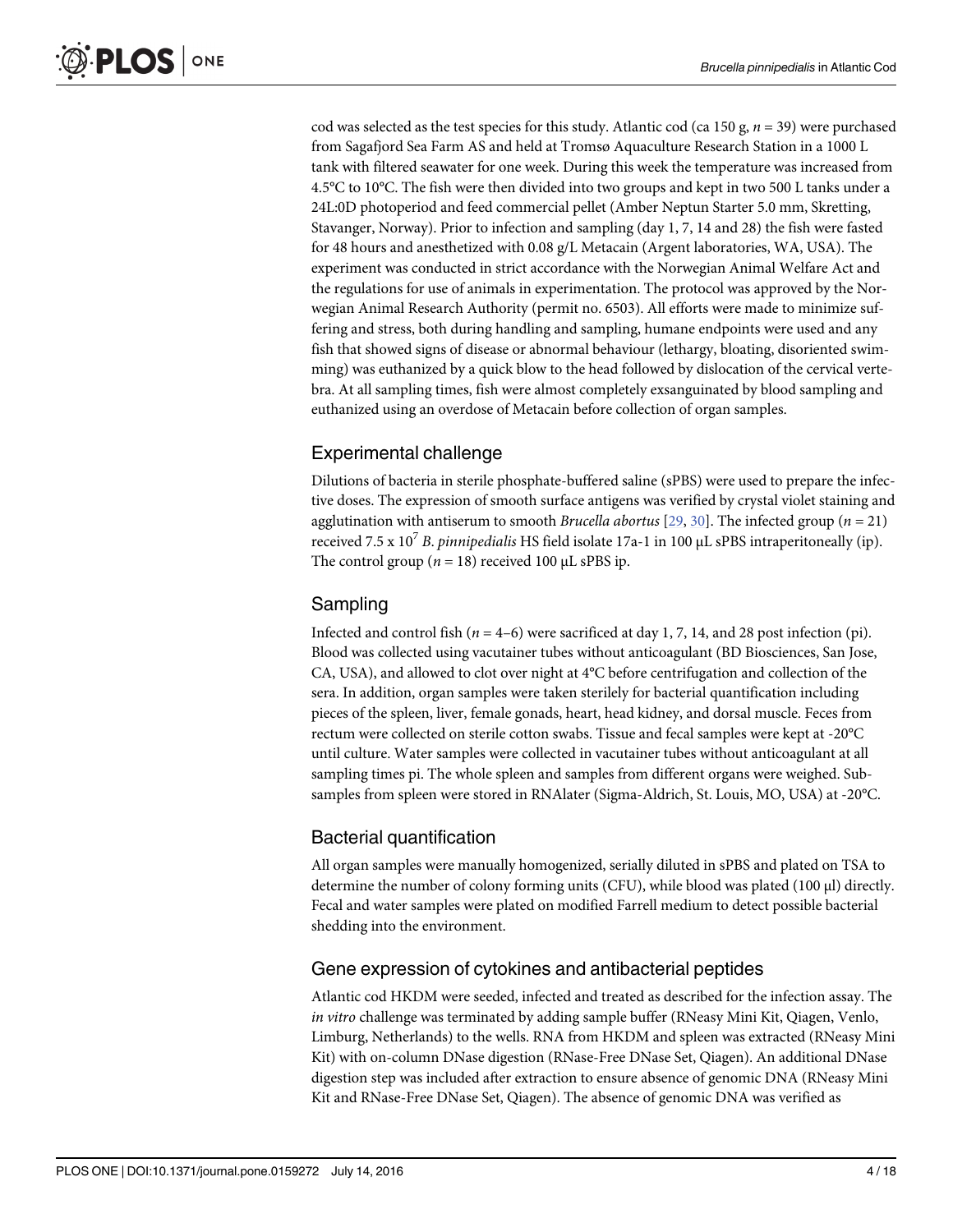<span id="page-3-0"></span>cod was selected as the test species for this study. Atlantic cod (ca 150 g,  $n = 39$ ) were purchased from Sagafjord Sea Farm AS and held at Tromsø Aquaculture Research Station in a 1000 L tank with filtered seawater for one week. During this week the temperature was increased from 4.5°C to 10°C. The fish were then divided into two groups and kept in two 500 L tanks under a 24L:0D photoperiod and feed commercial pellet (Amber Neptun Starter 5.0 mm, Skretting, Stavanger, Norway). Prior to infection and sampling (day 1, 7, 14 and 28) the fish were fasted for 48 hours and anesthetized with 0.08 g/L Metacain (Argent laboratories, WA, USA). The experiment was conducted in strict accordance with the Norwegian Animal Welfare Act and the regulations for use of animals in experimentation. The protocol was approved by the Norwegian Animal Research Authority (permit no. 6503). All efforts were made to minimize suffering and stress, both during handling and sampling, humane endpoints were used and any fish that showed signs of disease or abnormal behaviour (lethargy, bloating, disoriented swimming) was euthanized by a quick blow to the head followed by dislocation of the cervical vertebra. At all sampling times, fish were almost completely exsanguinated by blood sampling and euthanized using an overdose of Metacain before collection of organ samples.

# Experimental challenge

Dilutions of bacteria in sterile phosphate-buffered saline (sPBS) were used to prepare the infective doses. The expression of smooth surface antigens was verified by crystal violet staining and agglutination with antiserum to smooth *Brucella abortus* [[29](#page-15-0), [30](#page-15-0)]. The infected group ( $n = 21$ ) received 7.5 x  $10^7$  B, pinnipedialis HS field isolate 17a-1 in 100  $\mu$ L sPBS intraperitoneally (ip). The control group ( $n = 18$ ) received 100 μL sPBS ip.

# Sampling

Infected and control fish  $(n = 4–6)$  were sacrificed at day 1, 7, 14, and 28 post infection (pi). Blood was collected using vacutainer tubes without anticoagulant (BD Biosciences, San Jose, CA, USA), and allowed to clot over night at 4°C before centrifugation and collection of the sera. In addition, organ samples were taken sterilely for bacterial quantification including pieces of the spleen, liver, female gonads, heart, head kidney, and dorsal muscle. Feces from rectum were collected on sterile cotton swabs. Tissue and fecal samples were kept at -20°C until culture. Water samples were collected in vacutainer tubes without anticoagulant at all sampling times pi. The whole spleen and samples from different organs were weighed. Subsamples from spleen were stored in RNAlater (Sigma-Aldrich, St. Louis, MO, USA) at -20°C.

## Bacterial quantification

All organ samples were manually homogenized, serially diluted in sPBS and plated on TSA to determine the number of colony forming units (CFU), while blood was plated (100 μl) directly. Fecal and water samples were plated on modified Farrell medium to detect possible bacterial shedding into the environment.

## Gene expression of cytokines and antibacterial peptides

Atlantic cod HKDM were seeded, infected and treated as described for the infection assay. The in vitro challenge was terminated by adding sample buffer (RNeasy Mini Kit, Qiagen, Venlo, Limburg, Netherlands) to the wells. RNA from HKDM and spleen was extracted (RNeasy Mini Kit) with on-column DNase digestion (RNase-Free DNase Set, Qiagen). An additional DNase digestion step was included after extraction to ensure absence of genomic DNA (RNeasy Mini Kit and RNase-Free DNase Set, Qiagen). The absence of genomic DNA was verified as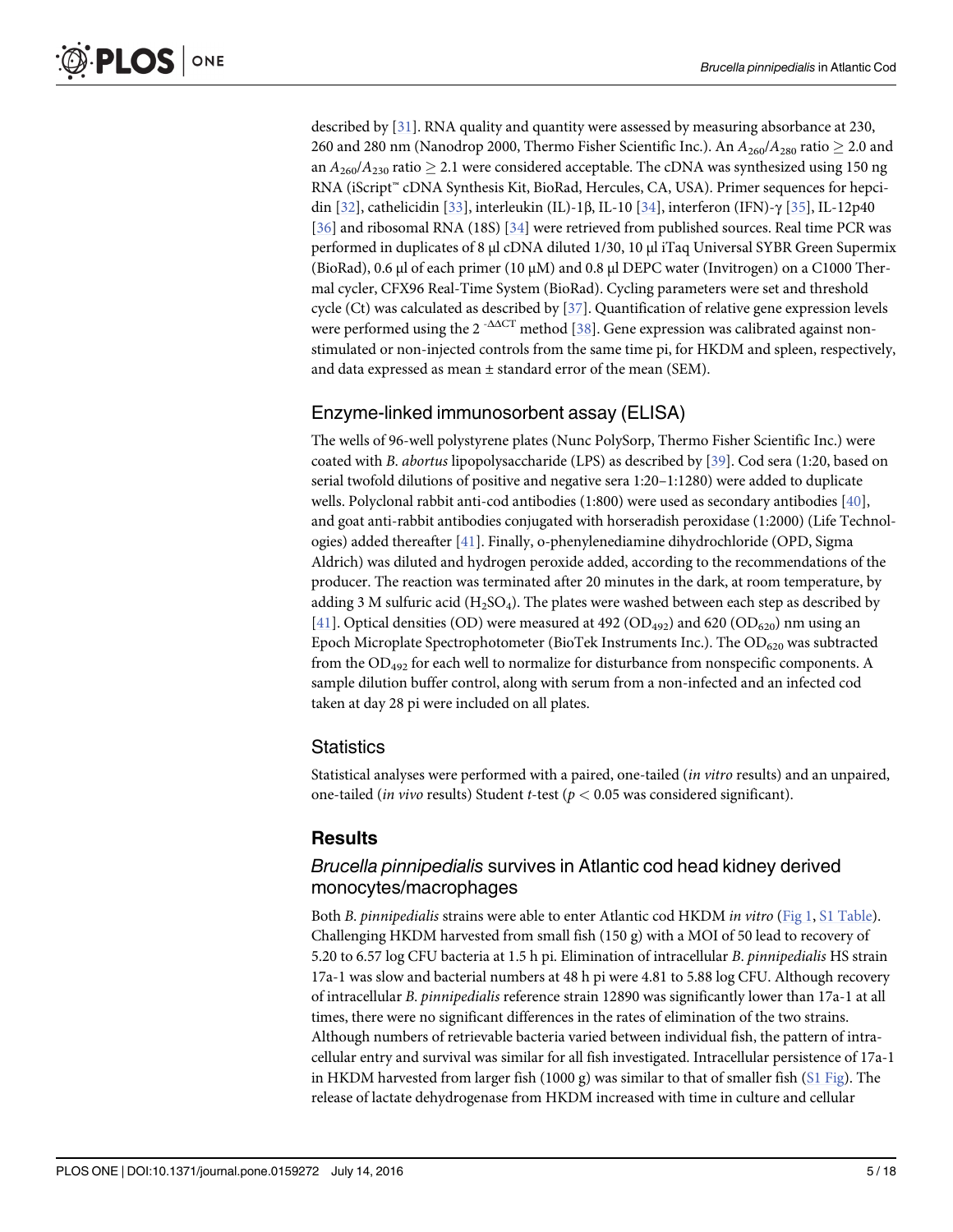<span id="page-4-0"></span>described by [\[31\]](#page-15-0). RNA quality and quantity were assessed by measuring absorbance at 230, 260 and 280 nm (Nanodrop 2000, Thermo Fisher Scientific Inc.). An  $A_{260}/A_{280}$  ratio  $\geq$  2.0 and an  $A_{260}/A_{230}$  ratio  $\geq 2.1$  were considered acceptable. The cDNA was synthesized using 150 ng RNA (iScript™ cDNA Synthesis Kit, BioRad, Hercules, CA, USA). Primer sequences for hepcidin [[32](#page-15-0)], cathelicidin [\[33\]](#page-15-0), interleukin (IL)-1β, IL-10 [\[34\]](#page-15-0), interferon (IFN)-γ [\[35\]](#page-15-0), IL-12p40 [\[36](#page-15-0)] and ribosomal RNA (18S) [\[34](#page-15-0)] were retrieved from published sources. Real time PCR was performed in duplicates of 8 μl cDNA diluted 1/30, 10 μl iTaq Universal SYBR Green Supermix (BioRad), 0.6 μl of each primer (10 μM) and 0.8 μl DEPC water (Invitrogen) on a C1000 Thermal cycler, CFX96 Real-Time System (BioRad). Cycling parameters were set and threshold cycle (Ct) was calculated as described by [[37\]](#page-15-0). Quantification of relative gene expression levels were performed using the  $2^{-\Delta\Delta CT}$  method [\[38](#page-15-0)]. Gene expression was calibrated against nonstimulated or non-injected controls from the same time pi, for HKDM and spleen, respectively, and data expressed as mean  $\pm$  standard error of the mean (SEM).

# Enzyme-linked immunosorbent assay (ELISA)

The wells of 96-well polystyrene plates (Nunc PolySorp, Thermo Fisher Scientific Inc.) were coated with B. abortus lipopolysaccharide (LPS) as described by [[39](#page-15-0)]. Cod sera (1:20, based on serial twofold dilutions of positive and negative sera 1:20–1:1280) were added to duplicate wells. Polyclonal rabbit anti-cod antibodies (1:800) were used as secondary antibodies [[40](#page-15-0)], and goat anti-rabbit antibodies conjugated with horseradish peroxidase (1:2000) (Life Technologies) added thereafter [\[41\]](#page-15-0). Finally, o-phenylenediamine dihydrochloride (OPD, Sigma Aldrich) was diluted and hydrogen peroxide added, according to the recommendations of the producer. The reaction was terminated after 20 minutes in the dark, at room temperature, by adding 3 M sulfuric acid  $(H_2SO_4)$ . The plates were washed between each step as described by  $[41]$  $[41]$ . Optical densities (OD) were measured at 492 (OD<sub>492</sub>) and 620 (OD<sub>620</sub>) nm using an Epoch Microplate Spectrophotometer (BioTek Instruments Inc.). The  $OD_{620}$  was subtracted from the  $OD_{492}$  for each well to normalize for disturbance from nonspecific components. A sample dilution buffer control, along with serum from a non-infected and an infected cod taken at day 28 pi were included on all plates.

#### Statistics

Statistical analyses were performed with a paired, one-tailed (in vitro results) and an unpaired, one-tailed (*in vivo results*) Student *t*-test ( $p < 0.05$  was considered significant).

## **Results**

## Brucella pinnipedialis survives in Atlantic cod head kidney derived monocytes/macrophages

Both B. pinnipedialis strains were able to enter Atlantic cod HKDM in vitro ([Fig 1](#page-5-0), [S1 Table\)](#page-13-0). Challenging HKDM harvested from small fish  $(150 \text{ g})$  with a MOI of 50 lead to recovery of 5.20 to 6.57 log CFU bacteria at 1.5 h pi. Elimination of intracellular B. pinnipedialis HS strain 17a-1 was slow and bacterial numbers at 48 h pi were 4.81 to 5.88 log CFU. Although recovery of intracellular B. pinnipedialis reference strain 12890 was significantly lower than 17a-1 at all times, there were no significant differences in the rates of elimination of the two strains. Although numbers of retrievable bacteria varied between individual fish, the pattern of intracellular entry and survival was similar for all fish investigated. Intracellular persistence of 17a-1 in HKDM harvested from larger fish (1000 g) was similar to that of smaller fish ( $SL$  Fig). The release of lactate dehydrogenase from HKDM increased with time in culture and cellular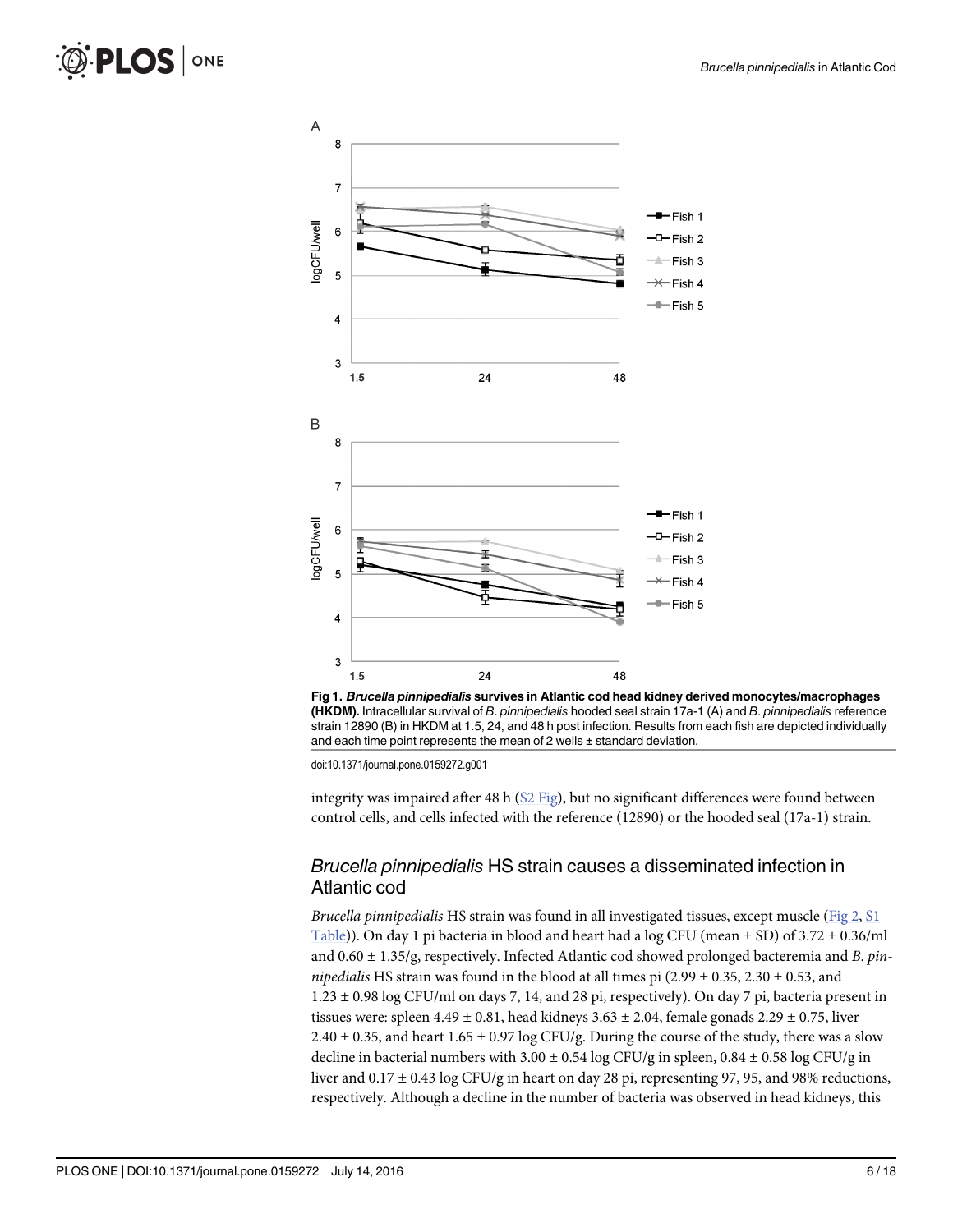<span id="page-5-0"></span>





integrity was impaired after 48 h  $(S2$  Fig), but no significant differences were found between control cells, and cells infected with the reference (12890) or the hooded seal (17a-1) strain.

#### Brucella pinnipedialis HS strain causes a disseminated infection in Atlantic cod

Brucella pinnipedialis HS strain was found in all investigated tissues, except muscle ( $Fig 2, S1$  $Fig 2, S1$  $Fig 2, S1$ ) [Table](#page-13-0))). On day 1 pi bacteria in blood and heart had a log CFU (mean  $\pm$  SD) of 3.72  $\pm$  0.36/ml and  $0.60 \pm 1.35$ /g, respectively. Infected Atlantic cod showed prolonged bacteremia and B. pinnipedialis HS strain was found in the blood at all times pi  $(2.99 \pm 0.35, 2.30 \pm 0.53,$  and 1.23 ± 0.98 log CFU/ml on days 7, 14, and 28 pi, respectively). On day 7 pi, bacteria present in tissues were: spleen  $4.49 \pm 0.81$ , head kidneys  $3.63 \pm 2.04$ , female gonads  $2.29 \pm 0.75$ , liver  $2.40 \pm 0.35$ , and heart  $1.65 \pm 0.97$  log CFU/g. During the course of the study, there was a slow decline in bacterial numbers with  $3.00 \pm 0.54 \log CFU/g$  in spleen,  $0.84 \pm 0.58 \log CFU/g$  in liver and 0.17 ± 0.43 log CFU/g in heart on day 28 pi, representing 97, 95, and 98% reductions, respectively. Although a decline in the number of bacteria was observed in head kidneys, this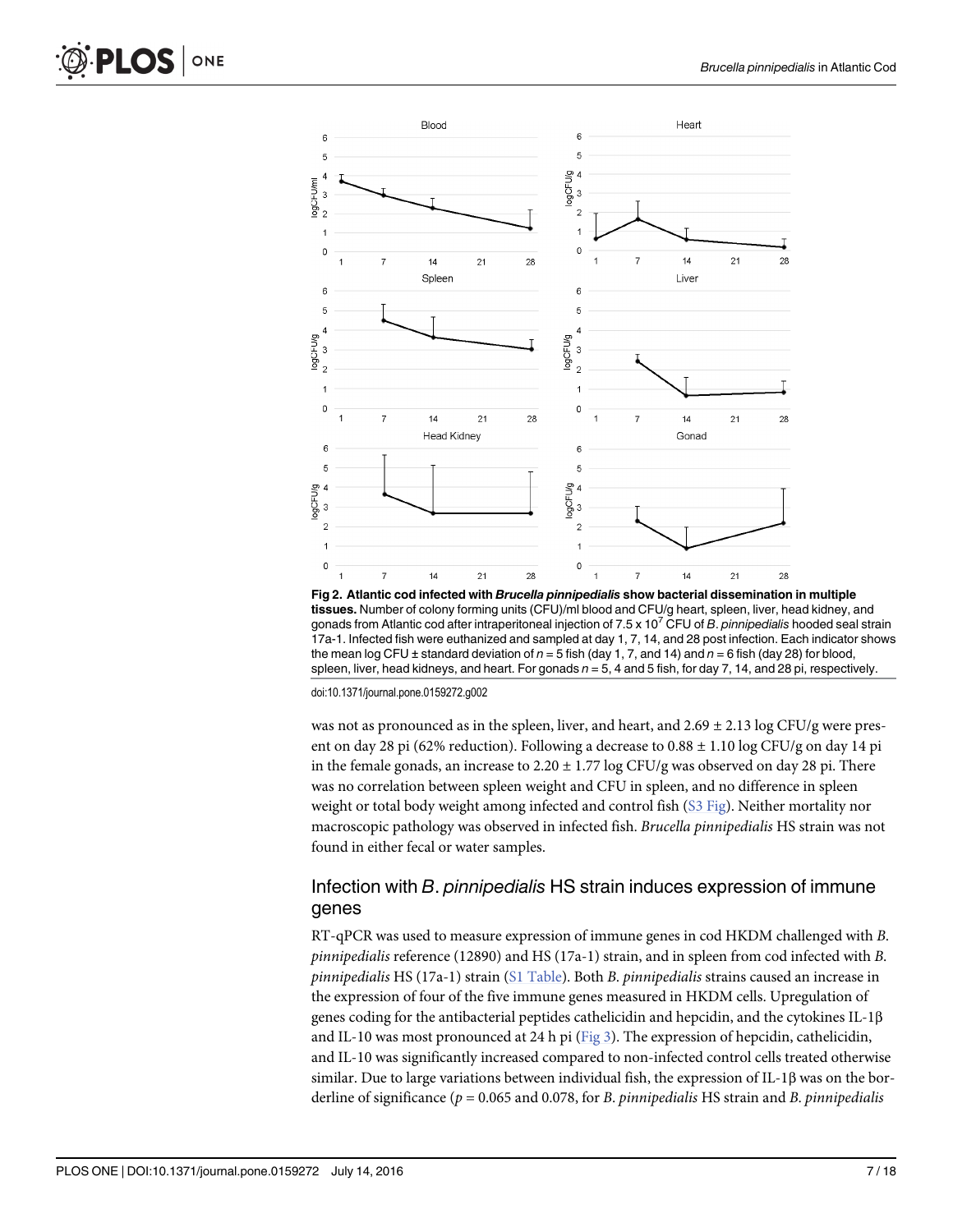<span id="page-6-0"></span>

[Fig 2. A](#page-5-0)tlantic cod infected with Brucella pinnipedialis show bacterial dissemination in multiple tissues. Number of colony forming units (CFU)/ml blood and CFU/g heart, spleen, liver, head kidney, and gonads from Atlantic cod after intraperitoneal injection of  $7.5 \times 10^7$  CFU of B. pinnipedialis hooded seal strain 17a-1. Infected fish were euthanized and sampled at day 1, 7, 14, and 28 post infection. Each indicator shows the mean log CFU ± standard deviation of  $n = 5$  fish (day 1, 7, and 14) and  $n = 6$  fish (day 28) for blood, spleen, liver, head kidneys, and heart. For gonads  $n = 5$ , 4 and 5 fish, for day 7, 14, and 28 pi, respectively.

was not as pronounced as in the spleen, liver, and heart, and  $2.69 \pm 2.13 \log CFU/g$  were present on day 28 pi (62% reduction). Following a decrease to  $0.88 \pm 1.10$  log CFU/g on day 14 pi in the female gonads, an increase to  $2.20 \pm 1.77 \log CFU/g$  was observed on day 28 pi. There was no correlation between spleen weight and CFU in spleen, and no difference in spleen weight or total body weight among infected and control fish [\(S3 Fig](#page-13-0)). Neither mortality nor macroscopic pathology was observed in infected fish. Brucella pinnipedialis HS strain was not found in either fecal or water samples.

#### Infection with B. pinnipedialis HS strain induces expression of immune genes

RT-qPCR was used to measure expression of immune genes in cod HKDM challenged with B. pinnipedialis reference (12890) and HS (17a-1) strain, and in spleen from cod infected with B. pinnipedialis HS (17a-1) strain  $(S1 Table)$  $(S1 Table)$ . Both B. pinnipedialis strains caused an increase in the expression of four of the five immune genes measured in HKDM cells. Upregulation of genes coding for the antibacterial peptides cathelicidin and hepcidin, and the cytokines IL-1β and IL-10 was most pronounced at 24 h pi [\(Fig 3\)](#page-7-0). The expression of hepcidin, cathelicidin, and IL-10 was significantly increased compared to non-infected control cells treated otherwise similar. Due to large variations between individual fish, the expression of IL-1β was on the borderline of significance ( $p = 0.065$  and 0.078, for B. pinnipedialis HS strain and B. pinnipedialis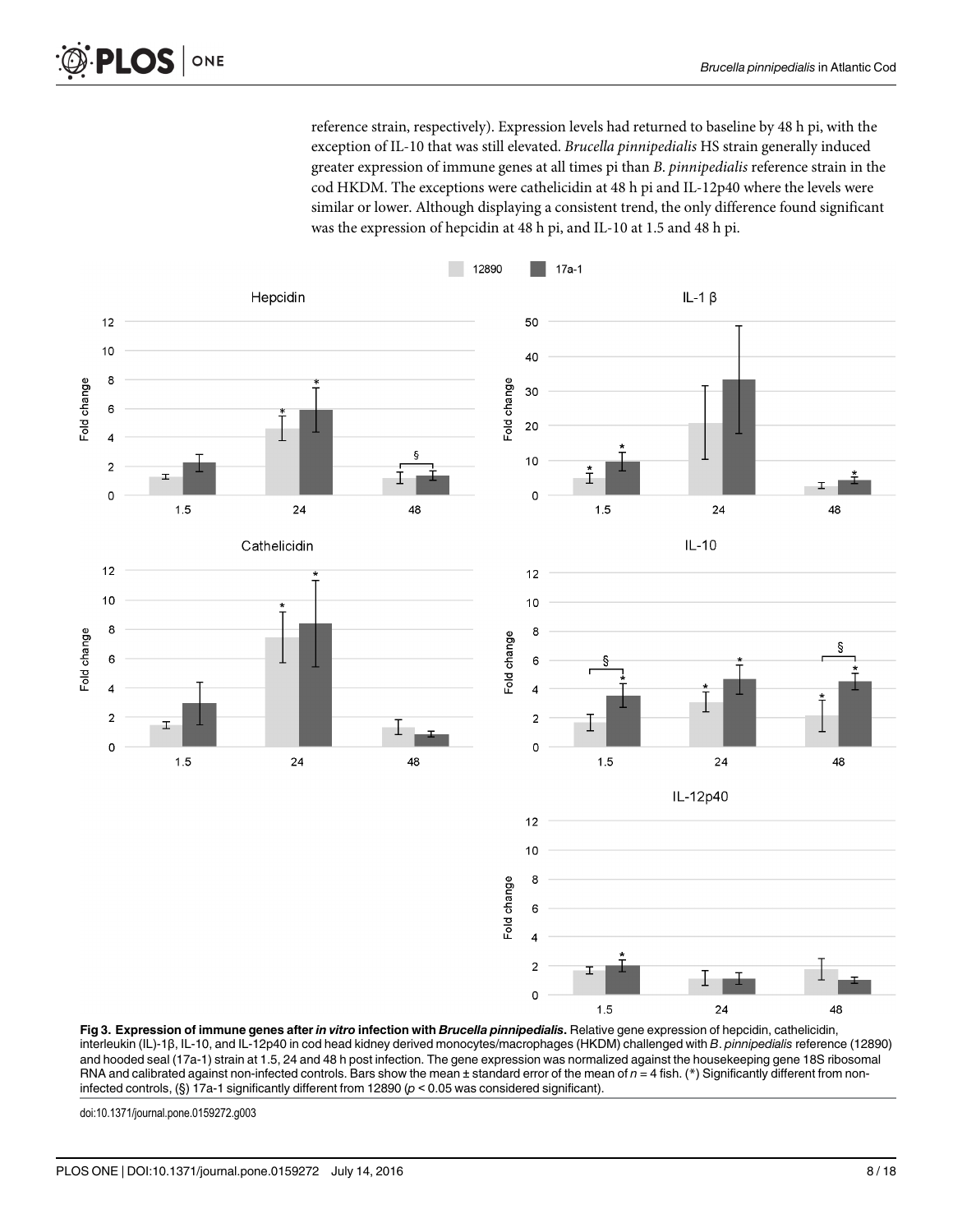reference strain, respectively). Expression levels had returned to baseline by 48 h pi, with the exception of IL-10 that was still elevated. Brucella pinnipedialis HS strain generally induced greater expression of immune genes at all times pi than B. pinnipedialis reference strain in the cod HKDM. The exceptions were cathelicidin at 48 h pi and IL-12p40 where the levels were similar or lower. Although displaying a consistent trend, the only difference found significant was the expression of hepcidin at 48 h pi, and IL-10 at 1.5 and 48 h pi.

<span id="page-7-0"></span>

[Fig 3.](#page-6-0) Expression of immune genes after in vitro infection with Brucella pinnipedialis. Relative gene expression of hepcidin, cathelicidin, interleukin (IL)-1β, IL-10, and IL-12p40 in cod head kidney derived monocytes/macrophages (HKDM) challenged with B. pinnipedialis reference (12890) and hooded seal (17a-1) strain at 1.5, 24 and 48 h post infection. The gene expression was normalized against the housekeeping gene 18S ribosomal RNA and calibrated against non-infected controls. Bars show the mean  $\pm$  standard error of the mean of  $n = 4$  fish. (\*) Significantly different from noninfected controls, (§) 17a-1 significantly different from 12890 ( $p < 0.05$  was considered significant).

doi:10.1371/journal.pone.0159272.g003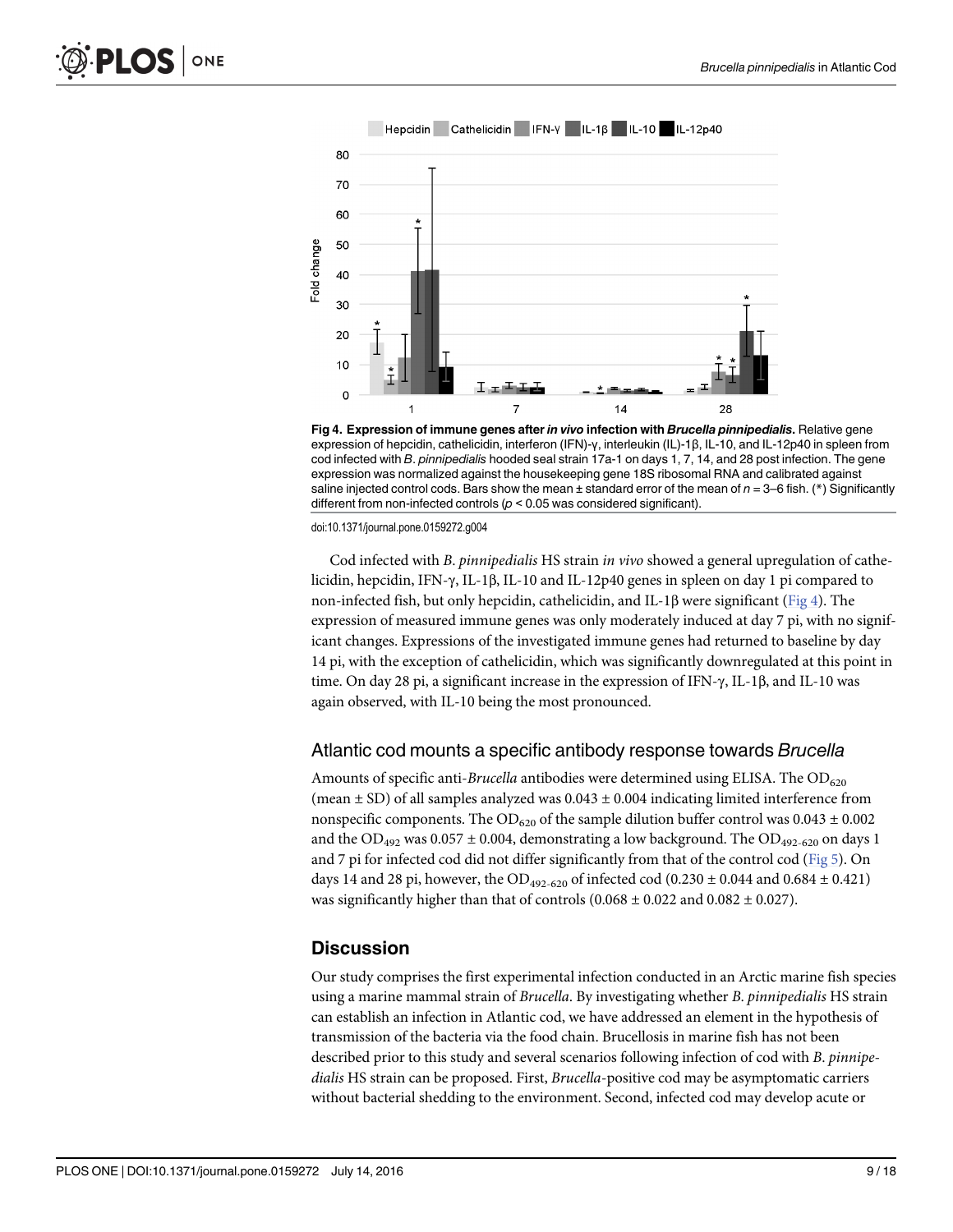<span id="page-8-0"></span>

Fig 4. Expression of immune genes after in vivo infection with Brucella pinnipedialis. Relative gene expression of hepcidin, cathelicidin, interferon (IFN)-γ, interleukin (IL)-1β, IL-10, and IL-12p40 in spleen from cod infected with B. pinnipedialis hooded seal strain 17a-1 on days 1, 7, 14, and 28 post infection. The gene expression was normalized against the housekeeping gene 18S ribosomal RNA and calibrated against saline injected control cods. Bars show the mean  $\pm$  standard error of the mean of  $n = 3$ –6 fish. (\*) Significantly different from non-infected controls ( $p < 0.05$  was considered significant).

Cod infected with B. pinnipedialis HS strain in vivo showed a general upregulation of cathelicidin, hepcidin, IFN-γ, IL-1β, IL-10 and IL-12p40 genes in spleen on day 1 pi compared to non-infected fish, but only hepcidin, cathelicidin, and IL-1β were significant (Fig 4). The expression of measured immune genes was only moderately induced at day 7 pi, with no significant changes. Expressions of the investigated immune genes had returned to baseline by day 14 pi, with the exception of cathelicidin, which was significantly downregulated at this point in time. On day 28 pi, a significant increase in the expression of IFN-γ, IL-1β, and IL-10 was again observed, with IL-10 being the most pronounced.

#### Atlantic cod mounts a specific antibody response towards Brucella

Amounts of specific anti-Brucella antibodies were determined using ELISA. The  $OD_{620}$ (mean  $\pm$  SD) of all samples analyzed was 0.043  $\pm$  0.004 indicating limited interference from nonspecific components. The OD<sub>620</sub> of the sample dilution buffer control was  $0.043 \pm 0.002$ and the  $OD_{492}$  was  $0.057 \pm 0.004$ , demonstrating a low background. The  $OD_{492-620}$  on days 1 and 7 pi for infected cod did not differ significantly from that of the control cod [\(Fig 5\)](#page-9-0). On days 14 and 28 pi, however, the OD<sub>492-620</sub> of infected cod (0.230  $\pm$  0.044 and 0.684  $\pm$  0.421) was significantly higher than that of controls  $(0.068 \pm 0.022 \text{ and } 0.082 \pm 0.027)$ .

#### **Discussion**

Our study comprises the first experimental infection conducted in an Arctic marine fish species using a marine mammal strain of Brucella. By investigating whether B. pinnipedialis HS strain can establish an infection in Atlantic cod, we have addressed an element in the hypothesis of transmission of the bacteria via the food chain. Brucellosis in marine fish has not been described prior to this study and several scenarios following infection of cod with B. pinnipedialis HS strain can be proposed. First, Brucella-positive cod may be asymptomatic carriers without bacterial shedding to the environment. Second, infected cod may develop acute or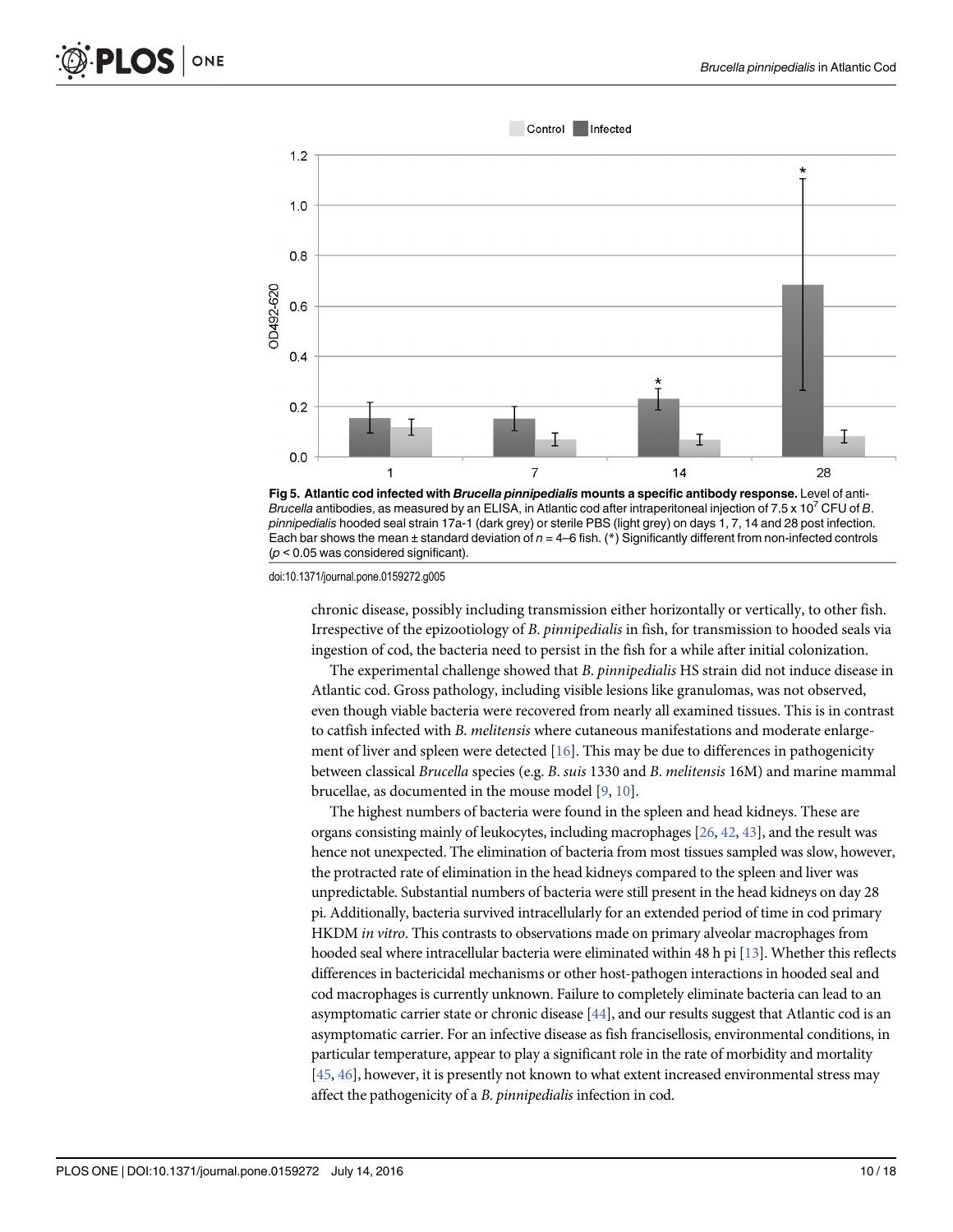<span id="page-9-0"></span>



chronic disease, possibly including transmission either horizontally or vertically, to other fish. Irrespective of the epizootiology of B. pinnipedialis in fish, for transmission to hooded seals via ingestion of cod, the bacteria need to persist in the fish for a while after initial colonization.

The experimental challenge showed that B. pinnipedialis HS strain did not induce disease in Atlantic cod. Gross pathology, including visible lesions like granulomas, was not observed, even though viable bacteria were recovered from nearly all examined tissues. This is in contrast to catfish infected with B. melitensis where cutaneous manifestations and moderate enlargement of liver and spleen were detected [\[16\]](#page-14-0). This may be due to differences in pathogenicity between classical Brucella species (e.g. B. suis 1330 and B. melitensis 16M) and marine mammal brucellae, as documented in the mouse model [\[9](#page-14-0), [10](#page-14-0)].

The highest numbers of bacteria were found in the spleen and head kidneys. These are organs consisting mainly of leukocytes, including macrophages [[26](#page-15-0), [42,](#page-15-0) [43](#page-15-0)], and the result was hence not unexpected. The elimination of bacteria from most tissues sampled was slow, however, the protracted rate of elimination in the head kidneys compared to the spleen and liver was unpredictable. Substantial numbers of bacteria were still present in the head kidneys on day 28 pi. Additionally, bacteria survived intracellularly for an extended period of time in cod primary HKDM in vitro. This contrasts to observations made on primary alveolar macrophages from hooded seal where intracellular bacteria were eliminated within 48 h pi [\[13\]](#page-14-0). Whether this reflects differences in bactericidal mechanisms or other host-pathogen interactions in hooded seal and cod macrophages is currently unknown. Failure to completely eliminate bacteria can lead to an asymptomatic carrier state or chronic disease [\[44\]](#page-15-0), and our results suggest that Atlantic cod is an asymptomatic carrier. For an infective disease as fish francisellosis, environmental conditions, in particular temperature, appear to play a significant role in the rate of morbidity and mortality  $[45, 46]$  $[45, 46]$  $[45, 46]$  $[45, 46]$ , however, it is presently not known to what extent increased environmental stress may affect the pathogenicity of a B. pinnipedialis infection in cod.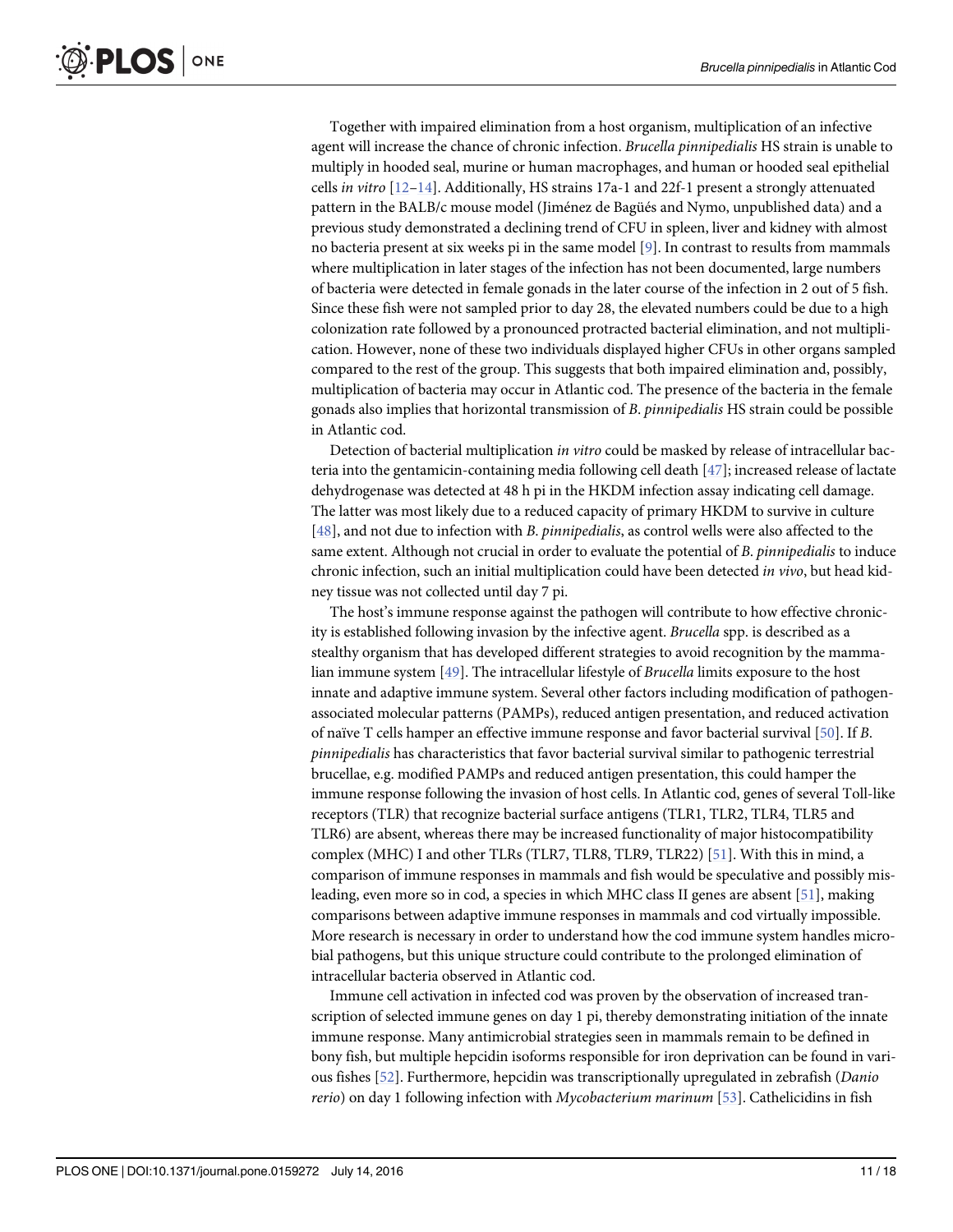<span id="page-10-0"></span>Together with impaired elimination from a host organism, multiplication of an infective agent will increase the chance of chronic infection. Brucella pinnipedialis HS strain is unable to multiply in hooded seal, murine or human macrophages, and human or hooded seal epithelial cells in vitro  $[12-14]$  $[12-14]$  $[12-14]$  $[12-14]$ . Additionally, HS strains 17a-1 and 22f-1 present a strongly attenuated pattern in the BALB/c mouse model (Jiménez de Bagüés and Nymo, unpublished data) and a previous study demonstrated a declining trend of CFU in spleen, liver and kidney with almost no bacteria present at six weeks pi in the same model [\[9](#page-14-0)]. In contrast to results from mammals where multiplication in later stages of the infection has not been documented, large numbers of bacteria were detected in female gonads in the later course of the infection in 2 out of 5 fish. Since these fish were not sampled prior to day 28, the elevated numbers could be due to a high colonization rate followed by a pronounced protracted bacterial elimination, and not multiplication. However, none of these two individuals displayed higher CFUs in other organs sampled compared to the rest of the group. This suggests that both impaired elimination and, possibly, multiplication of bacteria may occur in Atlantic cod. The presence of the bacteria in the female gonads also implies that horizontal transmission of B. pinnipedialis HS strain could be possible in Atlantic cod.

Detection of bacterial multiplication in vitro could be masked by release of intracellular bacteria into the gentamicin-containing media following cell death [[47](#page-16-0)]; increased release of lactate dehydrogenase was detected at 48 h pi in the HKDM infection assay indicating cell damage. The latter was most likely due to a reduced capacity of primary HKDM to survive in culture  $[48]$  $[48]$ , and not due to infection with B. *pinnipedialis*, as control wells were also affected to the same extent. Although not crucial in order to evaluate the potential of B. pinnipedialis to induce chronic infection, such an initial multiplication could have been detected in vivo, but head kidney tissue was not collected until day 7 pi.

The host's immune response against the pathogen will contribute to how effective chronicity is established following invasion by the infective agent. Brucella spp. is described as a stealthy organism that has developed different strategies to avoid recognition by the mammalian immune system [[49](#page-16-0)]. The intracellular lifestyle of Brucella limits exposure to the host innate and adaptive immune system. Several other factors including modification of pathogenassociated molecular patterns (PAMPs), reduced antigen presentation, and reduced activation of naïve T cells hamper an effective immune response and favor bacterial survival [[50](#page-16-0)]. If B. pinnipedialis has characteristics that favor bacterial survival similar to pathogenic terrestrial brucellae, e.g. modified PAMPs and reduced antigen presentation, this could hamper the immune response following the invasion of host cells. In Atlantic cod, genes of several Toll-like receptors (TLR) that recognize bacterial surface antigens (TLR1, TLR2, TLR4, TLR5 and TLR6) are absent, whereas there may be increased functionality of major histocompatibility complex (MHC) I and other TLRs (TLR7, TLR8, TLR9, TLR22) [[51\]](#page-16-0). With this in mind, a comparison of immune responses in mammals and fish would be speculative and possibly misleading, even more so in cod, a species in which MHC class II genes are absent [\[51](#page-16-0)], making comparisons between adaptive immune responses in mammals and cod virtually impossible. More research is necessary in order to understand how the cod immune system handles microbial pathogens, but this unique structure could contribute to the prolonged elimination of intracellular bacteria observed in Atlantic cod.

Immune cell activation in infected cod was proven by the observation of increased transcription of selected immune genes on day 1 pi, thereby demonstrating initiation of the innate immune response. Many antimicrobial strategies seen in mammals remain to be defined in bony fish, but multiple hepcidin isoforms responsible for iron deprivation can be found in various fishes [\[52\]](#page-16-0). Furthermore, hepcidin was transcriptionally upregulated in zebrafish (Danio rerio) on day 1 following infection with Mycobacterium marinum [\[53\]](#page-16-0). Cathelicidins in fish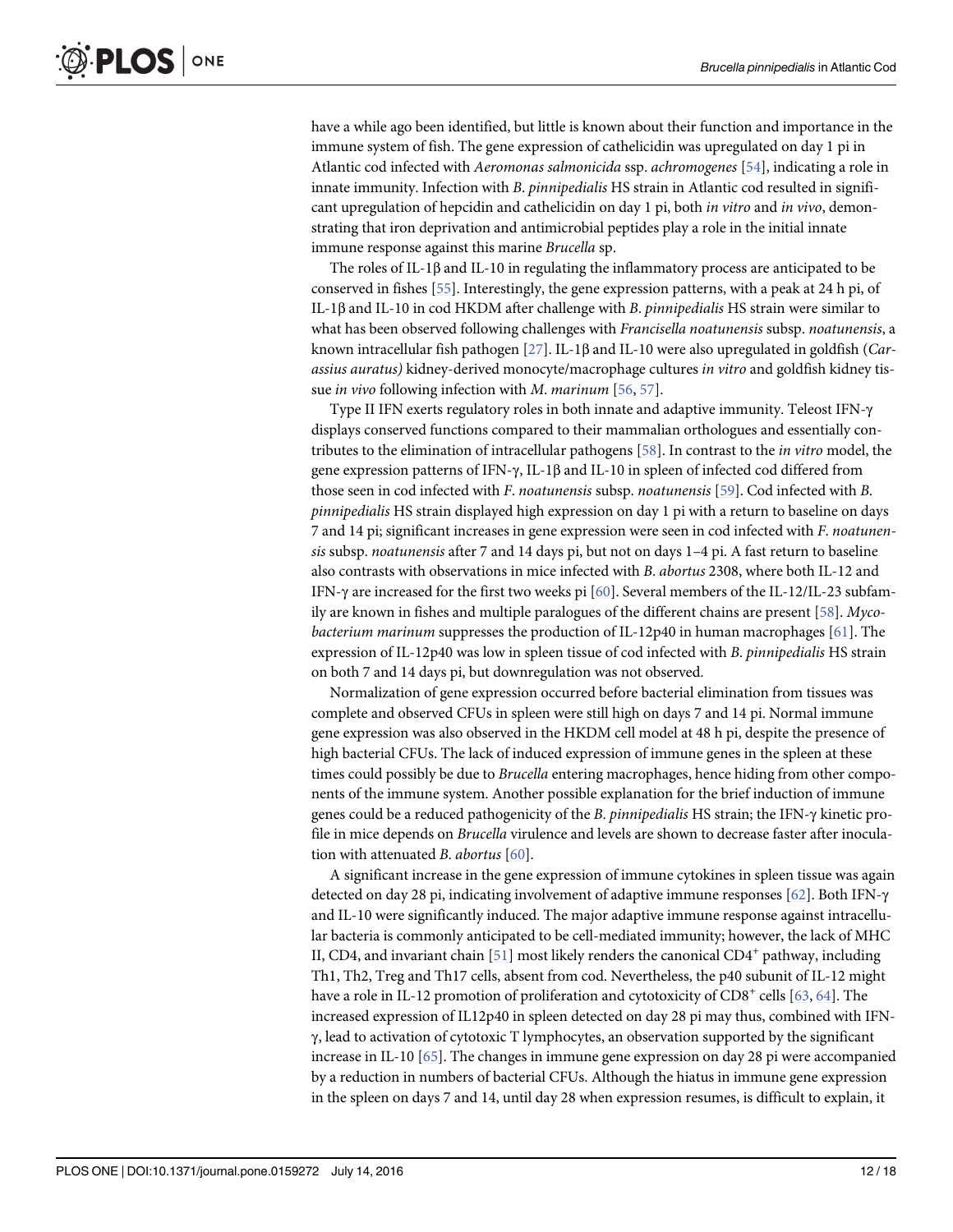<span id="page-11-0"></span>have a while ago been identified, but little is known about their function and importance in the immune system of fish. The gene expression of cathelicidin was upregulated on day 1 pi in Atlantic cod infected with Aeromonas salmonicida ssp. achromogenes [\[54\]](#page-16-0), indicating a role in innate immunity. Infection with B. pinnipedialis HS strain in Atlantic cod resulted in significant upregulation of hepcidin and cathelicidin on day 1 pi, both *in vitro* and *in vivo*, demonstrating that iron deprivation and antimicrobial peptides play a role in the initial innate immune response against this marine Brucella sp.

The roles of IL-1 $\beta$  and IL-10 in regulating the inflammatory process are anticipated to be conserved in fishes [\[55\]](#page-16-0). Interestingly, the gene expression patterns, with a peak at 24 h pi, of IL-1β and IL-10 in cod HKDM after challenge with B. pinnipedialis HS strain were similar to what has been observed following challenges with Francisella noatunensis subsp. noatunensis, a known intracellular fish pathogen [\[27](#page-15-0)]. IL-1β and IL-10 were also upregulated in goldfish (Carassius auratus) kidney-derived monocyte/macrophage cultures in vitro and goldfish kidney tissue in vivo following infection with M. marinum [\[56,](#page-16-0) [57\]](#page-16-0).

Type II IFN exerts regulatory roles in both innate and adaptive immunity. Teleost IFN-γ displays conserved functions compared to their mammalian orthologues and essentially contributes to the elimination of intracellular pathogens [\[58](#page-16-0)]. In contrast to the in vitro model, the gene expression patterns of IFN-γ, IL-1β and IL-10 in spleen of infected cod differed from those seen in cod infected with F. noatunensis subsp. noatunensis [[59](#page-16-0)]. Cod infected with B. pinnipedialis HS strain displayed high expression on day 1 pi with a return to baseline on days 7 and 14 pi; significant increases in gene expression were seen in cod infected with F. noatunensis subsp. noatunensis after 7 and 14 days pi, but not on days 1–4 pi. A fast return to baseline also contrasts with observations in mice infected with B. abortus 2308, where both IL-12 and IFN-γ are increased for the first two weeks pi [[60](#page-16-0)]. Several members of the IL-12/IL-23 subfam-ily are known in fishes and multiple paralogues of the different chains are present [[58](#page-16-0)].  $Myco$ bacterium marinum suppresses the production of IL-12p40 in human macrophages [[61](#page-16-0)]. The expression of IL-12p40 was low in spleen tissue of cod infected with B. pinnipedialis HS strain on both 7 and 14 days pi, but downregulation was not observed.

Normalization of gene expression occurred before bacterial elimination from tissues was complete and observed CFUs in spleen were still high on days 7 and 14 pi. Normal immune gene expression was also observed in the HKDM cell model at 48 h pi, despite the presence of high bacterial CFUs. The lack of induced expression of immune genes in the spleen at these times could possibly be due to *Brucella* entering macrophages, hence hiding from other components of the immune system. Another possible explanation for the brief induction of immune genes could be a reduced pathogenicity of the B. pinnipedialis HS strain; the IFN-γ kinetic profile in mice depends on Brucella virulence and levels are shown to decrease faster after inoculation with attenuated B. abortus [[60](#page-16-0)].

A significant increase in the gene expression of immune cytokines in spleen tissue was again detected on day 28 pi, indicating involvement of adaptive immune responses [\[62](#page-16-0)]. Both IFN-γ and IL-10 were significantly induced. The major adaptive immune response against intracellular bacteria is commonly anticipated to be cell-mediated immunity; however, the lack of MHC II, CD4, and invariant chain  $[51]$  most likely renders the canonical CD4<sup>+</sup> pathway, including Th1, Th2, Treg and Th17 cells, absent from cod. Nevertheless, the p40 subunit of IL-12 might have a role in IL-12 promotion of proliferation and cytotoxicity of  $CD8^+$  cells [[63](#page-16-0), [64](#page-16-0)]. The increased expression of IL12p40 in spleen detected on day 28 pi may thus, combined with IFNγ, lead to activation of cytotoxic T lymphocytes, an observation supported by the significant increase in IL-10 [[65](#page-16-0)]. The changes in immune gene expression on day 28 pi were accompanied by a reduction in numbers of bacterial CFUs. Although the hiatus in immune gene expression in the spleen on days 7 and 14, until day 28 when expression resumes, is difficult to explain, it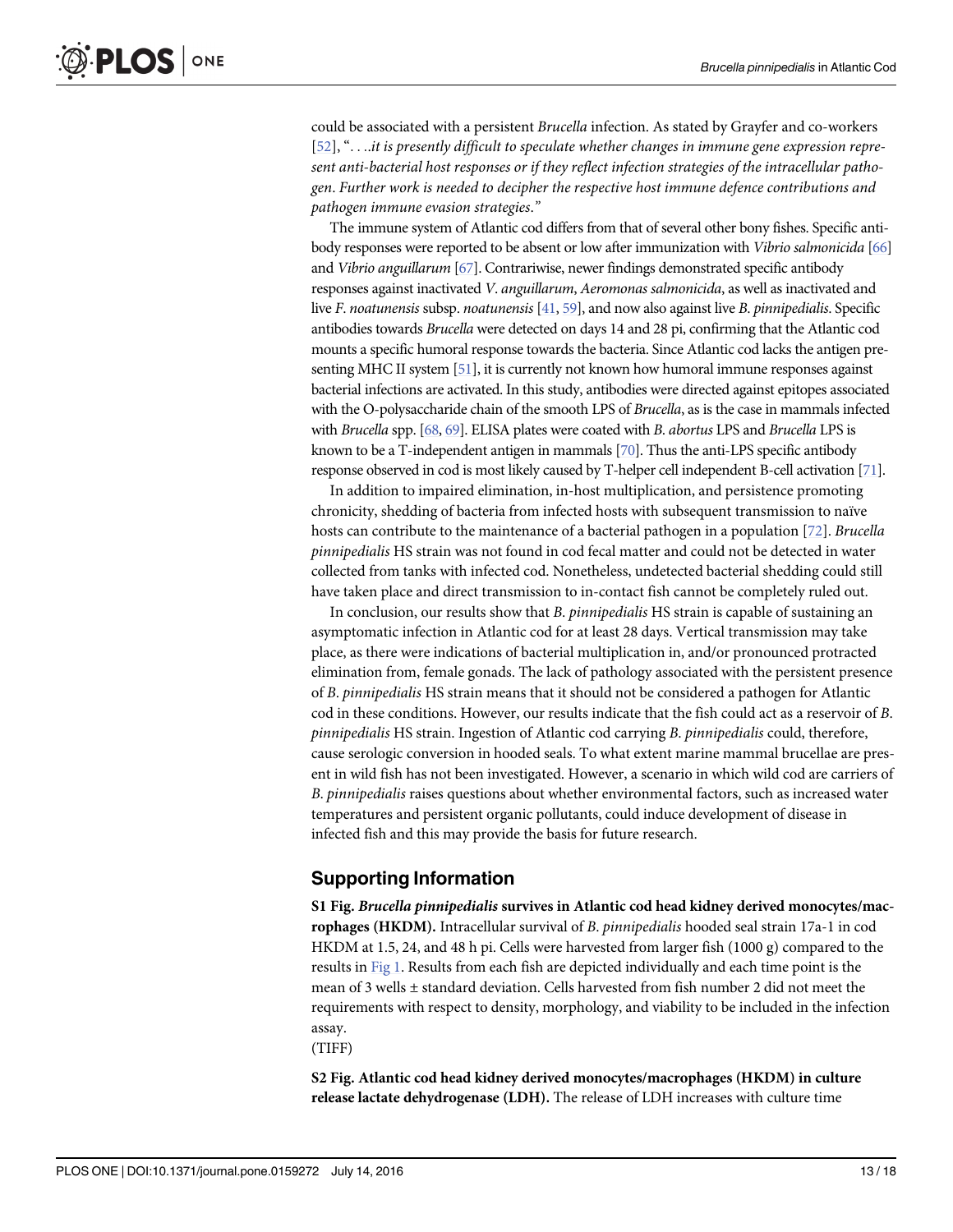<span id="page-12-0"></span>could be associated with a persistent Brucella infection. As stated by Grayfer and co-workers [\[52](#page-16-0)], "...it is presently difficult to speculate whether changes in immune gene expression represent anti-bacterial host responses or if they reflect infection strategies of the intracellular pathogen. Further work is needed to decipher the respective host immune defence contributions and pathogen immune evasion strategies."

The immune system of Atlantic cod differs from that of several other bony fishes. Specific anti-body responses were reported to be absent or low after immunization with Vibrio salmonicida [\[66](#page-16-0)] and Vibrio anguillarum [\[67](#page-16-0)]. Contrariwise, newer findings demonstrated specific antibody responses against inactivated V. anguillarum, Aeromonas salmonicida, as well as inactivated and live F. noatunensis subsp. noatunensis  $[41, 59]$  $[41, 59]$  $[41, 59]$ , and now also against live B. pinnipedialis. Specific antibodies towards Brucella were detected on days 14 and 28 pi, confirming that the Atlantic cod mounts a specific humoral response towards the bacteria. Since Atlantic cod lacks the antigen presenting MHC II system [\[51](#page-16-0)], it is currently not known how humoral immune responses against bacterial infections are activated. In this study, antibodies were directed against epitopes associated with the O-polysaccharide chain of the smooth LPS of Brucella, as is the case in mammals infected with Brucella spp. [[68,](#page-17-0) [69](#page-17-0)]. ELISA plates were coated with B. abortus LPS and Brucella LPS is known to be a T-independent antigen in mammals [\[70](#page-17-0)]. Thus the anti-LPS specific antibody response observed in cod is most likely caused by T-helper cell independent B-cell activation [[71\]](#page-17-0).

In addition to impaired elimination, in-host multiplication, and persistence promoting chronicity, shedding of bacteria from infected hosts with subsequent transmission to naïve hosts can contribute to the maintenance of a bacterial pathogen in a population [\[72\]](#page-17-0). Brucella pinnipedialis HS strain was not found in cod fecal matter and could not be detected in water collected from tanks with infected cod. Nonetheless, undetected bacterial shedding could still have taken place and direct transmission to in-contact fish cannot be completely ruled out.

In conclusion, our results show that B. *pinnipedialis* HS strain is capable of sustaining an asymptomatic infection in Atlantic cod for at least 28 days. Vertical transmission may take place, as there were indications of bacterial multiplication in, and/or pronounced protracted elimination from, female gonads. The lack of pathology associated with the persistent presence of B. pinnipedialis HS strain means that it should not be considered a pathogen for Atlantic cod in these conditions. However, our results indicate that the fish could act as a reservoir of B. pinnipedialis HS strain. Ingestion of Atlantic cod carrying B. pinnipedialis could, therefore, cause serologic conversion in hooded seals. To what extent marine mammal brucellae are present in wild fish has not been investigated. However, a scenario in which wild cod are carriers of B. pinnipedialis raises questions about whether environmental factors, such as increased water temperatures and persistent organic pollutants, could induce development of disease in infected fish and this may provide the basis for future research.

#### Supporting Information

[S1 Fig.](http://www.plosone.org/article/fetchSingleRepresentation.action?uri=info:doi/10.1371/journal.pone.0159272.s001) Brucella pinnipedialis survives in Atlantic cod head kidney derived monocytes/macrophages (HKDM). Intracellular survival of B. pinnipedialis hooded seal strain 17a-1 in cod HKDM at 1.5, 24, and 48 h pi. Cells were harvested from larger fish (1000 g) compared to the results in [Fig 1.](#page-5-0) Results from each fish are depicted individually and each time point is the mean of 3 wells ± standard deviation. Cells harvested from fish number 2 did not meet the requirements with respect to density, morphology, and viability to be included in the infection assay.

(TIFF)

[S2 Fig.](http://www.plosone.org/article/fetchSingleRepresentation.action?uri=info:doi/10.1371/journal.pone.0159272.s002) Atlantic cod head kidney derived monocytes/macrophages (HKDM) in culture release lactate dehydrogenase (LDH). The release of LDH increases with culture time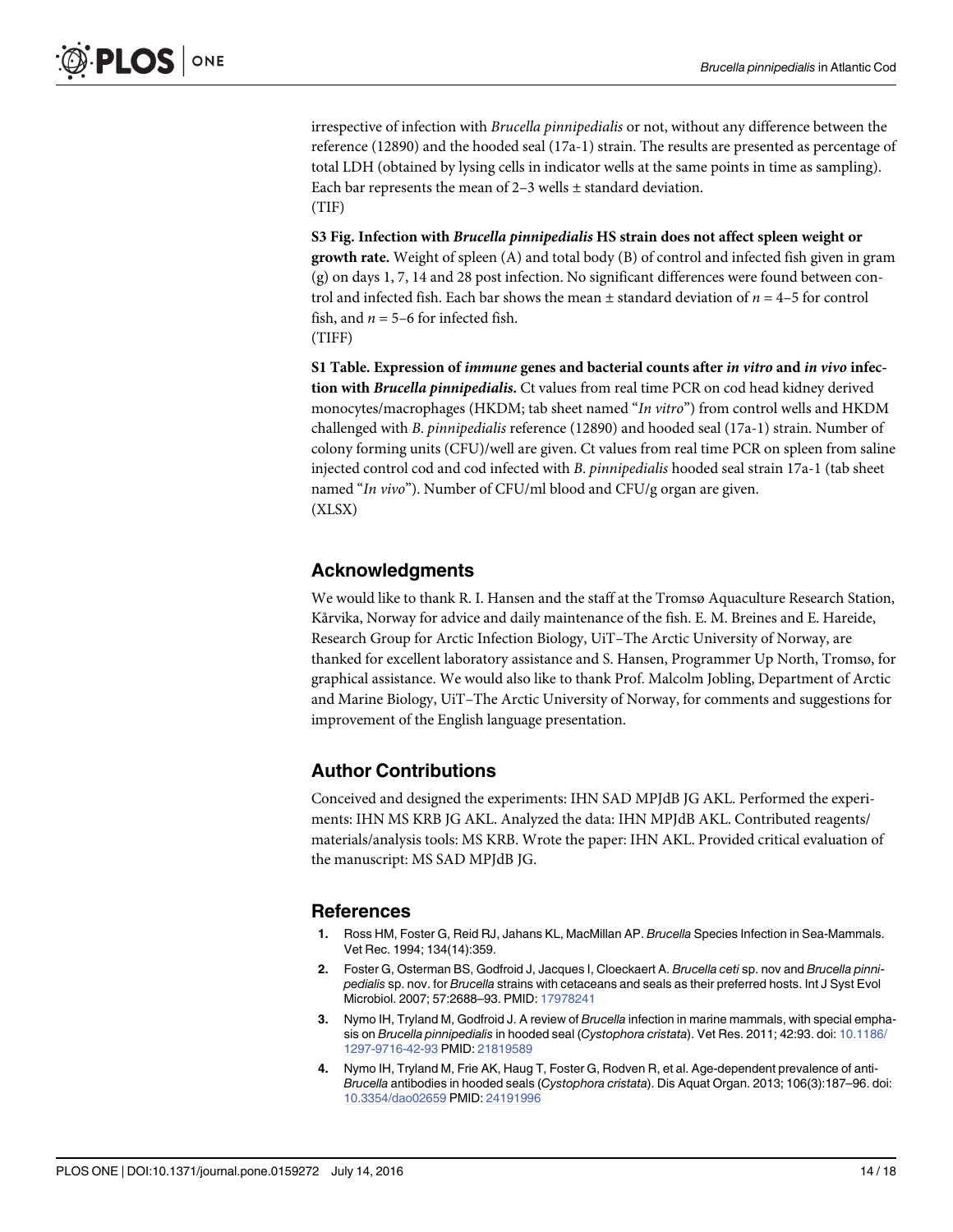<span id="page-13-0"></span>irrespective of infection with Brucella pinnipedialis or not, without any difference between the reference (12890) and the hooded seal (17a-1) strain. The results are presented as percentage of total LDH (obtained by lysing cells in indicator wells at the same points in time as sampling). Each bar represents the mean of 2–3 wells ± standard deviation. (TIF)

[S3 Fig.](http://www.plosone.org/article/fetchSingleRepresentation.action?uri=info:doi/10.1371/journal.pone.0159272.s003) Infection with Brucella pinnipedialis HS strain does not affect spleen weight or growth rate. Weight of spleen (A) and total body (B) of control and infected fish given in gram (g) on days 1, 7, 14 and 28 post infection. No significant differences were found between control and infected fish. Each bar shows the mean  $\pm$  standard deviation of  $n = 4-5$  for control fish, and  $n = 5-6$  for infected fish. (TIFF)

[S1 Table](http://www.plosone.org/article/fetchSingleRepresentation.action?uri=info:doi/10.1371/journal.pone.0159272.s004). Expression of *immune* genes and bacterial counts after *in vitro* and *in vivo* infection with Brucella pinnipedialis. Ct values from real time PCR on cod head kidney derived monocytes/macrophages (HKDM; tab sheet named "In vitro") from control wells and HKDM challenged with B. pinnipedialis reference (12890) and hooded seal (17a-1) strain. Number of colony forming units (CFU)/well are given. Ct values from real time PCR on spleen from saline injected control cod and cod infected with B. pinnipedialis hooded seal strain 17a-1 (tab sheet named "In vivo"). Number of CFU/ml blood and CFU/g organ are given. (XLSX)

# Acknowledgments

We would like to thank R. I. Hansen and the staff at the Tromsø Aquaculture Research Station, Kårvika, Norway for advice and daily maintenance of the fish. E. M. Breines and E. Hareide, Research Group for Arctic Infection Biology, UiT–The Arctic University of Norway, are thanked for excellent laboratory assistance and S. Hansen, Programmer Up North, Tromsø, for graphical assistance. We would also like to thank Prof. Malcolm Jobling, Department of Arctic and Marine Biology, UiT–The Arctic University of Norway, for comments and suggestions for improvement of the English language presentation.

# Author Contributions

Conceived and designed the experiments: IHN SAD MPJdB JG AKL. Performed the experiments: IHN MS KRB JG AKL. Analyzed the data: IHN MPJdB AKL. Contributed reagents/ materials/analysis tools: MS KRB. Wrote the paper: IHN AKL. Provided critical evaluation of the manuscript: MS SAD MPJdB JG.

## References

- [1.](#page-1-0) Ross HM, Foster G, Reid RJ, Jahans KL, MacMillan AP. Brucella Species Infection in Sea-Mammals. Vet Rec. 1994; 134(14):359.
- [2.](#page-1-0) Foster G, Osterman BS, Godfroid J, Jacques I, Cloeckaert A. Brucella ceti sp. nov and Brucella pinnipedialis sp. nov. for Brucella strains with cetaceans and seals as their preferred hosts. Int J Syst Evol Microbiol. 2007; 57:2688–93. PMID: [17978241](http://www.ncbi.nlm.nih.gov/pubmed/17978241)
- [3.](#page-1-0) Nymo IH, Tryland M, Godfroid J. A review of Brucella infection in marine mammals, with special empha-sis on Brucella pinnipedialis in hooded seal (Cystophora cristata). Vet Res. 2011; 42:93. doi: [10.1186/](http://dx.doi.org/10.1186/1297-9716-42-93) [1297-9716-42-93](http://dx.doi.org/10.1186/1297-9716-42-93) PMID: [21819589](http://www.ncbi.nlm.nih.gov/pubmed/21819589)
- [4.](#page-1-0) Nymo IH, Tryland M, Frie AK, Haug T, Foster G, Rodven R, et al. Age-dependent prevalence of anti-Brucella antibodies in hooded seals (Cystophora cristata). Dis Aquat Organ. 2013; 106(3):187–96. doi: [10.3354/dao02659](http://dx.doi.org/10.3354/dao02659) PMID: [24191996](http://www.ncbi.nlm.nih.gov/pubmed/24191996)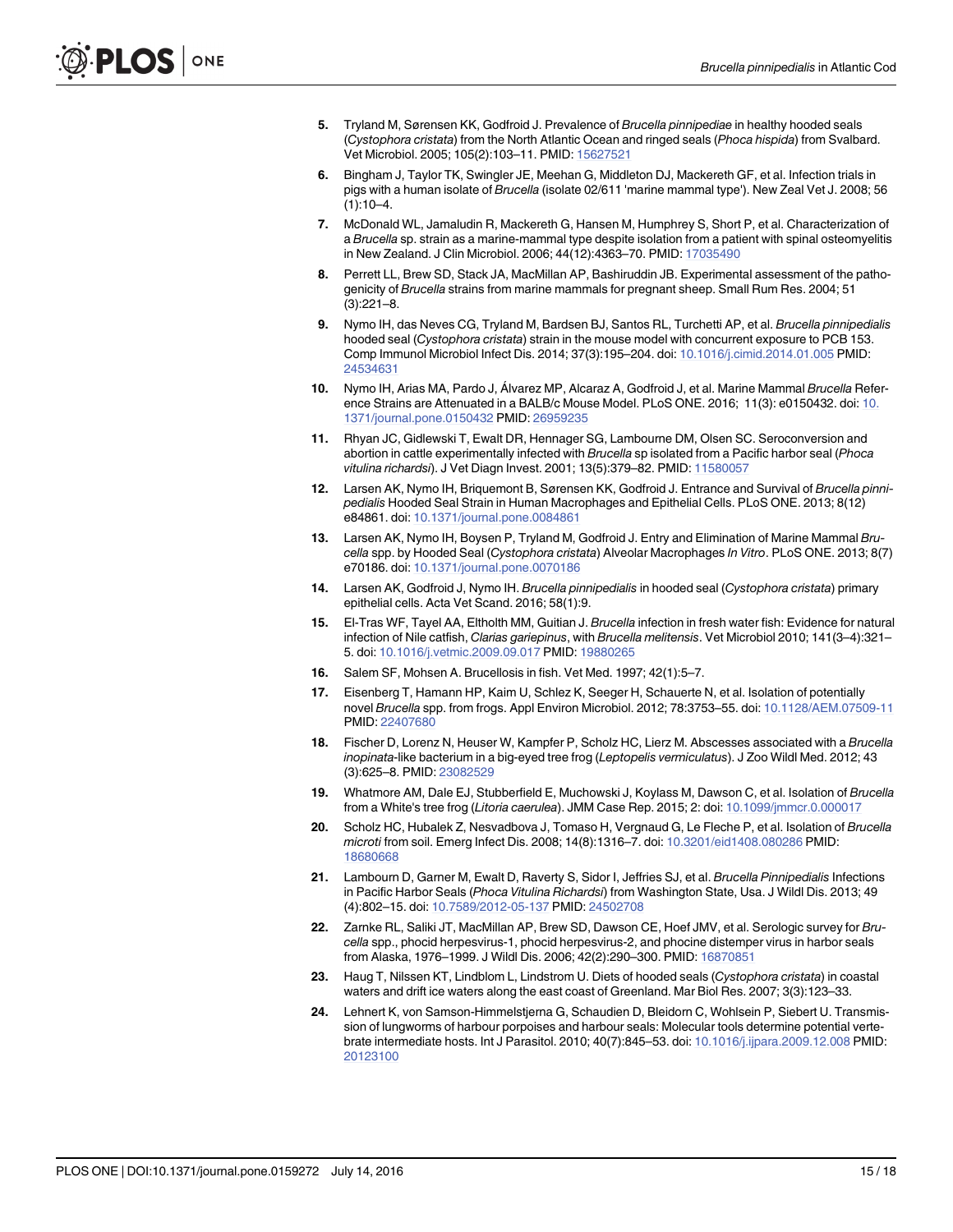- <span id="page-14-0"></span>[5.](#page-1-0) Tryland M, Sørensen KK, Godfroid J. Prevalence of Brucella pinnipediae in healthy hooded seals (Cystophora cristata) from the North Atlantic Ocean and ringed seals (Phoca hispida) from Svalbard. Vet Microbiol. 2005; 105(2):103–11. PMID: [15627521](http://www.ncbi.nlm.nih.gov/pubmed/15627521)
- [6.](#page-1-0) Bingham J, Taylor TK, Swingler JE, Meehan G, Middleton DJ, Mackereth GF, et al. Infection trials in pigs with a human isolate of Brucella (isolate 02/611 'marine mammal type'). New Zeal Vet J. 2008; 56  $(1):10-4.$
- [7.](#page-1-0) McDonald WL, Jamaludin R, Mackereth G, Hansen M, Humphrey S, Short P, et al. Characterization of a Brucella sp. strain as a marine-mammal type despite isolation from a patient with spinal osteomyelitis in New Zealand. J Clin Microbiol. 2006; 44(12):4363–70. PMID: [17035490](http://www.ncbi.nlm.nih.gov/pubmed/17035490)
- [8.](#page-1-0) Perrett LL, Brew SD, Stack JA, MacMillan AP, Bashiruddin JB. Experimental assessment of the pathogenicity of Brucella strains from marine mammals for pregnant sheep. Small Rum Res. 2004; 51 (3):221–8.
- [9.](#page-1-0) Nymo IH, das Neves CG, Tryland M, Bardsen BJ, Santos RL, Turchetti AP, et al. Brucella pinnipedialis hooded seal (Cystophora cristata) strain in the mouse model with concurrent exposure to PCB 153. Comp Immunol Microbiol Infect Dis. 2014; 37(3):195–204. doi: [10.1016/j.cimid.2014.01.005](http://dx.doi.org/10.1016/j.cimid.2014.01.005) PMID: [24534631](http://www.ncbi.nlm.nih.gov/pubmed/24534631)
- [10.](#page-1-0) Nymo IH, Arias MA, Pardo J, Álvarez MP, Alcaraz A, Godfroid J, et al. Marine Mammal Brucella Refer-ence Strains are Attenuated in a BALB/c Mouse Model. PLoS ONE. 2016; 11(3): e0150432. doi: [10.](http://dx.doi.org/10.1371/journal.pone.0150432) [1371/journal.pone.0150432](http://dx.doi.org/10.1371/journal.pone.0150432) PMID: [26959235](http://www.ncbi.nlm.nih.gov/pubmed/26959235)
- [11.](#page-1-0) Rhyan JC, Gidlewski T, Ewalt DR, Hennager SG, Lambourne DM, Olsen SC. Seroconversion and abortion in cattle experimentally infected with Brucella sp isolated from a Pacific harbor seal (Phoca vitulina richardsi). J Vet Diagn Invest. 2001; 13(5):379–82. PMID: [11580057](http://www.ncbi.nlm.nih.gov/pubmed/11580057)
- [12.](#page-1-0) Larsen AK, Nymo IH, Briquemont B, Sørensen KK, Godfroid J. Entrance and Survival of Brucella pinnipedialis Hooded Seal Strain in Human Macrophages and Epithelial Cells. PLoS ONE. 2013; 8(12) e84861. doi: [10.1371/journal.pone.0084861](http://dx.doi.org/10.1371/journal.pone.0084861)
- [13.](#page-1-0) Larsen AK, Nymo IH, Boysen P, Tryland M, Godfroid J. Entry and Elimination of Marine Mammal Brucella spp. by Hooded Seal (Cystophora cristata) Alveolar Macrophages In Vitro. PLoS ONE. 2013; 8(7) e70186. doi: [10.1371/journal.pone.0070186](http://dx.doi.org/10.1371/journal.pone.0070186)
- [14.](#page-1-0) Larsen AK, Godfroid J, Nymo IH. Brucella pinnipedialis in hooded seal (Cystophora cristata) primary epithelial cells. Acta Vet Scand. 2016; 58(1):9.
- [15.](#page-1-0) El-Tras WF, Tayel AA, Eltholth MM, Guitian J. Brucella infection in fresh water fish: Evidence for natural infection of Nile catfish, Clarias gariepinus, with Brucella melitensis. Vet Microbiol 2010; 141(3-4):321-5. doi: [10.1016/j.vetmic.2009.09.017](http://dx.doi.org/10.1016/j.vetmic.2009.09.017) PMID: [19880265](http://www.ncbi.nlm.nih.gov/pubmed/19880265)
- [16.](#page-1-0) Salem SF, Mohsen A. Brucellosis in fish. Vet Med. 1997; 42(1):5–7.
- [17.](#page-1-0) Eisenberg T, Hamann HP, Kaim U, Schlez K, Seeger H, Schauerte N, et al. Isolation of potentially novel Brucella spp. from frogs. Appl Environ Microbiol. 2012; 78:3753–55. doi: [10.1128/AEM.07509-11](http://dx.doi.org/10.1128/AEM.07509-11) PMID: [22407680](http://www.ncbi.nlm.nih.gov/pubmed/22407680)
- 18. Fischer D, Lorenz N, Heuser W, Kampfer P, Scholz HC, Lierz M. Abscesses associated with a Brucella inopinata-like bacterium in a big-eyed tree frog (Leptopelis vermiculatus). J Zoo Wildl Med. 2012; 43 (3):625–8. PMID: [23082529](http://www.ncbi.nlm.nih.gov/pubmed/23082529)
- [19.](#page-1-0) Whatmore AM, Dale EJ, Stubberfield E, Muchowski J, Koylass M, Dawson C, et al. Isolation of Brucella from a White's tree frog (Litoria caerulea). JMM Case Rep. 2015; 2: doi: [10.1099/jmmcr.0.000017](http://dx.doi.org/10.1099/jmmcr.0.000017)
- [20.](#page-1-0) Scholz HC, Hubalek Z, Nesvadbova J, Tomaso H, Vergnaud G, Le Fleche P, et al. Isolation of Brucella microti from soil. Emerg Infect Dis. 2008; 14(8):1316–7. doi: [10.3201/eid1408.080286](http://dx.doi.org/10.3201/eid1408.080286) PMID: [18680668](http://www.ncbi.nlm.nih.gov/pubmed/18680668)
- [21.](#page-1-0) Lambourn D, Garner M, Ewalt D, Raverty S, Sidor I, Jeffries SJ, et al. Brucella Pinnipedialis Infections in Pacific Harbor Seals (Phoca Vitulina Richardsi) from Washington State, Usa. J Wildl Dis. 2013; 49 (4):802–15. doi: [10.7589/2012-05-137](http://dx.doi.org/10.7589/2012-05-137) PMID: [24502708](http://www.ncbi.nlm.nih.gov/pubmed/24502708)
- [22.](#page-1-0) Zarnke RL, Saliki JT, MacMillan AP, Brew SD, Dawson CE, Hoef JMV, et al. Serologic survey for Brucella spp., phocid herpesvirus-1, phocid herpesvirus-2, and phocine distemper virus in harbor seals from Alaska, 1976–1999. J Wildl Dis. 2006; 42(2):290–300. PMID: [16870851](http://www.ncbi.nlm.nih.gov/pubmed/16870851)
- [23.](#page-1-0) Haug T, Nilssen KT, Lindblom L, Lindstrom U. Diets of hooded seals (Cystophora cristata) in coastal waters and drift ice waters along the east coast of Greenland. Mar Biol Res. 2007; 3(3):123–33.
- [24.](#page-1-0) Lehnert K, von Samson-Himmelstjerna G, Schaudien D, Bleidorn C, Wohlsein P, Siebert U. Transmission of lungworms of harbour porpoises and harbour seals: Molecular tools determine potential vertebrate intermediate hosts. Int J Parasitol. 2010; 40(7):845–53. doi: [10.1016/j.ijpara.2009.12.008](http://dx.doi.org/10.1016/j.ijpara.2009.12.008) PMID: [20123100](http://www.ncbi.nlm.nih.gov/pubmed/20123100)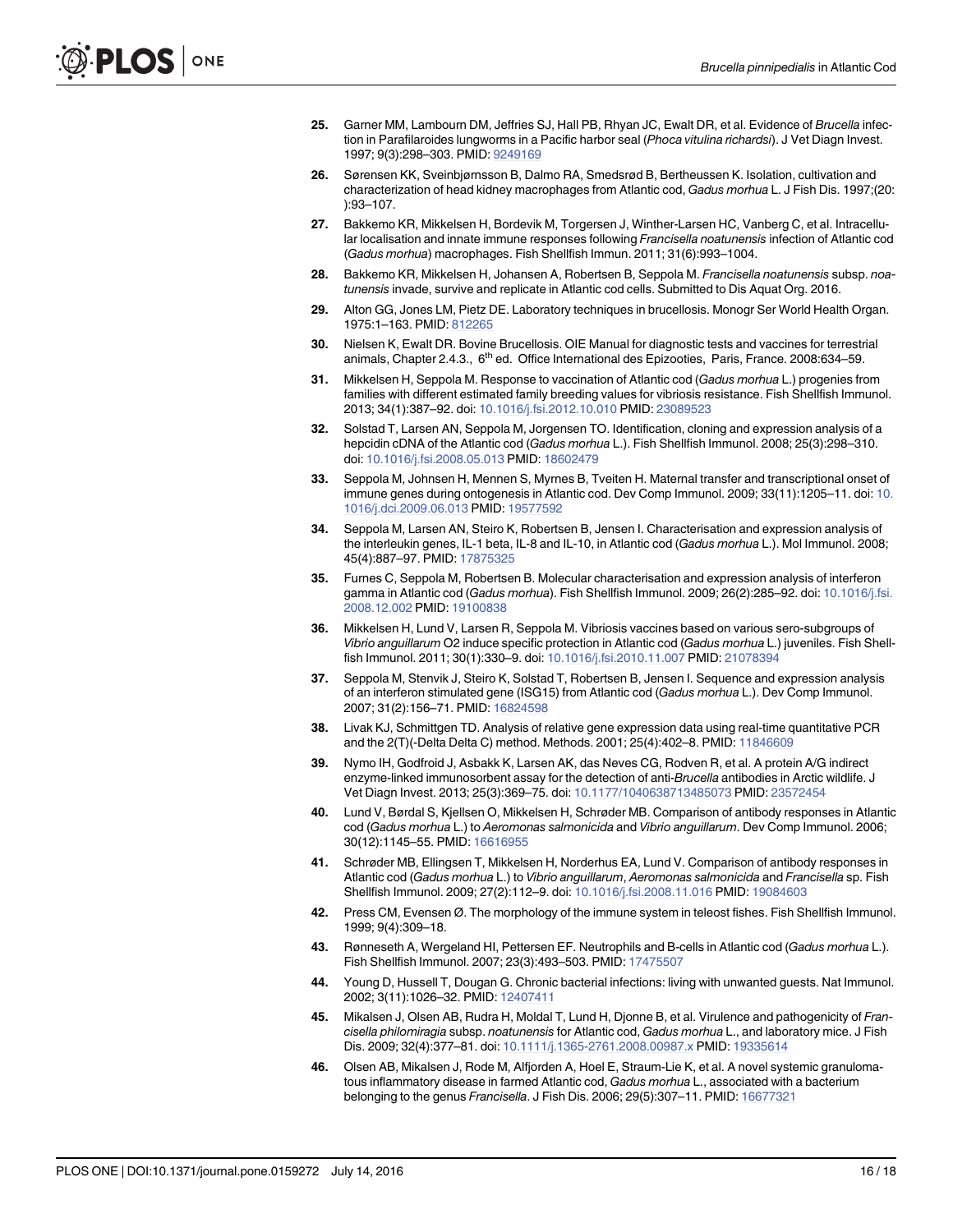- <span id="page-15-0"></span>[25.](#page-1-0) Garner MM, Lambourn DM, Jeffries SJ, Hall PB, Rhyan JC, Ewalt DR, et al. Evidence of Brucella infection in Parafilaroides lungworms in a Pacific harbor seal (Phoca vitulina richardsi). J Vet Diagn Invest. 1997; 9(3):298–303. PMID: [9249169](http://www.ncbi.nlm.nih.gov/pubmed/9249169)
- [26.](#page-2-0) Sørensen KK, Sveinbjørnsson B, Dalmo RA, Smedsrød B, Bertheussen K. Isolation, cultivation and characterization of head kidney macrophages from Atlantic cod, Gadus morhua L. J Fish Dis. 1997;(20: ):93–107.
- [27.](#page-2-0) Bakkemo KR, Mikkelsen H, Bordevik M, Torgersen J, Winther-Larsen HC, Vanberg C, et al. Intracellular localisation and innate immune responses following Francisella noatunensis infection of Atlantic cod (Gadus morhua) macrophages. Fish Shellfish Immun. 2011; 31(6):993–1004.
- [28.](#page-2-0) Bakkemo KR, Mikkelsen H, Johansen A, Robertsen B, Seppola M. Francisella noatunensis subsp. noatunensis invade, survive and replicate in Atlantic cod cells. Submitted to Dis Aquat Org. 2016.
- [29.](#page-3-0) Alton GG, Jones LM, Pietz DE. Laboratory techniques in brucellosis. Monogr Ser World Health Organ. 1975:1–163. PMID: [812265](http://www.ncbi.nlm.nih.gov/pubmed/812265)
- [30.](#page-3-0) Nielsen K, Ewalt DR. Bovine Brucellosis. OIE Manual for diagnostic tests and vaccines for terrestrial animals, Chapter 2.4.3., 6<sup>th</sup> ed. Office International des Epizooties, Paris, France. 2008:634-59.
- [31.](#page-4-0) Mikkelsen H, Seppola M. Response to vaccination of Atlantic cod (Gadus morhua L.) progenies from families with different estimated family breeding values for vibriosis resistance. Fish Shellfish Immunol. 2013; 34(1):387–92. doi: [10.1016/j.fsi.2012.10.010](http://dx.doi.org/10.1016/j.fsi.2012.10.010) PMID: [23089523](http://www.ncbi.nlm.nih.gov/pubmed/23089523)
- [32.](#page-4-0) Solstad T, Larsen AN, Seppola M, Jorgensen TO. Identification, cloning and expression analysis of a hepcidin cDNA of the Atlantic cod (Gadus morhua L.). Fish Shellfish Immunol. 2008; 25(3):298-310. doi: [10.1016/j.fsi.2008.05.013](http://dx.doi.org/10.1016/j.fsi.2008.05.013) PMID: [18602479](http://www.ncbi.nlm.nih.gov/pubmed/18602479)
- [33.](#page-4-0) Seppola M, Johnsen H, Mennen S, Myrnes B, Tveiten H. Maternal transfer and transcriptional onset of immune genes during ontogenesis in Atlantic cod. Dev Comp Immunol. 2009; 33(11):1205–11. doi: [10.](http://dx.doi.org/10.1016/j.dci.2009.06.013) [1016/j.dci.2009.06.013](http://dx.doi.org/10.1016/j.dci.2009.06.013) PMID: [19577592](http://www.ncbi.nlm.nih.gov/pubmed/19577592)
- [34.](#page-4-0) Seppola M, Larsen AN, Steiro K, Robertsen B, Jensen I. Characterisation and expression analysis of the interleukin genes, IL-1 beta, IL-8 and IL-10, in Atlantic cod (Gadus morhua L.). Mol Immunol. 2008; 45(4):887–97. PMID: [17875325](http://www.ncbi.nlm.nih.gov/pubmed/17875325)
- [35.](#page-4-0) Furnes C, Seppola M, Robertsen B. Molecular characterisation and expression analysis of interferon gamma in Atlantic cod (Gadus morhua). Fish Shellfish Immunol. 2009; 26(2):285-92. doi: [10.1016/j.fsi.](http://dx.doi.org/10.1016/j.fsi.2008.12.002) [2008.12.002](http://dx.doi.org/10.1016/j.fsi.2008.12.002) PMID: [19100838](http://www.ncbi.nlm.nih.gov/pubmed/19100838)
- [36.](#page-4-0) Mikkelsen H, Lund V, Larsen R, Seppola M. Vibriosis vaccines based on various sero-subgroups of Vibrio anguillarum O2 induce specific protection in Atlantic cod (Gadus morhua L.) juveniles. Fish Shellfish Immunol. 2011; 30(1):330–9. doi: [10.1016/j.fsi.2010.11.007](http://dx.doi.org/10.1016/j.fsi.2010.11.007) PMID: [21078394](http://www.ncbi.nlm.nih.gov/pubmed/21078394)
- [37.](#page-4-0) Seppola M, Stenvik J, Steiro K, Solstad T, Robertsen B, Jensen I. Sequence and expression analysis of an interferon stimulated gene (ISG15) from Atlantic cod (Gadus morhua L.). Dev Comp Immunol. 2007; 31(2):156–71. PMID: [16824598](http://www.ncbi.nlm.nih.gov/pubmed/16824598)
- [38.](#page-4-0) Livak KJ, Schmittgen TD. Analysis of relative gene expression data using real-time quantitative PCR and the 2(T)(-Delta Delta C) method. Methods. 2001; 25(4):402-8. PMID: [11846609](http://www.ncbi.nlm.nih.gov/pubmed/11846609)
- Nymo IH, Godfroid J, Asbakk K, Larsen AK, das Neves CG, Rodven R, et al. A protein A/G indirect enzyme-linked immunosorbent assay for the detection of anti-Brucella antibodies in Arctic wildlife. J Vet Diagn Invest. 2013; 25(3):369–75. doi: [10.1177/1040638713485073](http://dx.doi.org/10.1177/1040638713485073) PMID: [23572454](http://www.ncbi.nlm.nih.gov/pubmed/23572454)
- [40.](#page-4-0) Lund V, Børdal S, Kjellsen O, Mikkelsen H, Schrøder MB. Comparison of antibody responses in Atlantic cod (Gadus morhua L.) to Aeromonas salmonicida and Vibrio anguillarum. Dev Comp Immunol. 2006; 30(12):1145–55. PMID: [16616955](http://www.ncbi.nlm.nih.gov/pubmed/16616955)
- [41.](#page-4-0) Schrøder MB, Ellingsen T, Mikkelsen H, Norderhus EA, Lund V. Comparison of antibody responses in Atlantic cod (Gadus morhua L.) to Vibrio anguillarum, Aeromonas salmonicida and Francisella sp. Fish Shellfish Immunol. 2009; 27(2):112–9. doi: [10.1016/j.fsi.2008.11.016](http://dx.doi.org/10.1016/j.fsi.2008.11.016) PMID: [19084603](http://www.ncbi.nlm.nih.gov/pubmed/19084603)
- [42.](#page-9-0) Press CM, Evensen Ø. The morphology of the immune system in teleost fishes. Fish Shellfish Immunol. 1999; 9(4):309–18.
- [43.](#page-9-0) Rønneseth A, Wergeland HI, Pettersen EF. Neutrophils and B-cells in Atlantic cod (Gadus morhua L.). Fish Shellfish Immunol. 2007; 23(3):493–503. PMID: [17475507](http://www.ncbi.nlm.nih.gov/pubmed/17475507)
- [44.](#page-9-0) Young D, Hussell T, Dougan G. Chronic bacterial infections: living with unwanted guests. Nat Immunol. 2002; 3(11):1026–32. PMID: [12407411](http://www.ncbi.nlm.nih.gov/pubmed/12407411)
- [45.](#page-9-0) Mikalsen J, Olsen AB, Rudra H, Moldal T, Lund H, Djonne B, et al. Virulence and pathogenicity of Francisella philomiragia subsp. noatunensis for Atlantic cod, Gadus morhua L., and laboratory mice. J Fish Dis. 2009; 32(4):377–81. doi: [10.1111/j.1365-2761.2008.00987.x](http://dx.doi.org/10.1111/j.1365-2761.2008.00987.x) PMID: [19335614](http://www.ncbi.nlm.nih.gov/pubmed/19335614)
- [46.](#page-9-0) Olsen AB, Mikalsen J, Rode M, Alfjorden A, Hoel E, Straum-Lie K, et al. A novel systemic granulomatous inflammatory disease in farmed Atlantic cod, Gadus morhua L., associated with a bacterium belonging to the genus Francisella. J Fish Dis. 2006; 29(5):307-11. PMID: [16677321](http://www.ncbi.nlm.nih.gov/pubmed/16677321)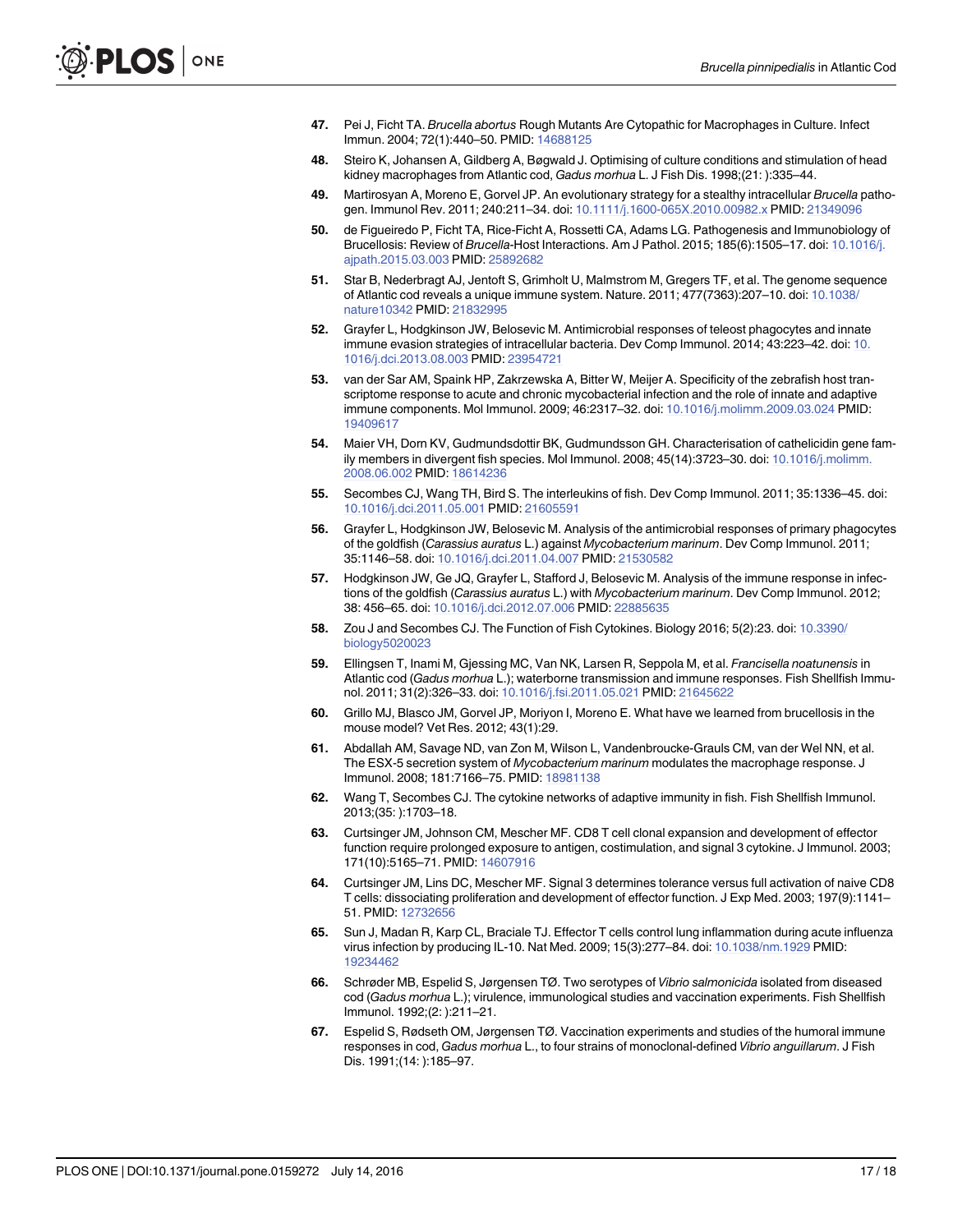- <span id="page-16-0"></span>[47.](#page-10-0) Pei J, Ficht TA. Brucella abortus Rough Mutants Are Cytopathic for Macrophages in Culture. Infect Immun. 2004; 72(1):440–50. PMID: [14688125](http://www.ncbi.nlm.nih.gov/pubmed/14688125)
- [48.](#page-10-0) Steiro K, Johansen A, Gildberg A, Bøgwald J. Optimising of culture conditions and stimulation of head kidney macrophages from Atlantic cod, Gadus morhua L. J Fish Dis. 1998;(21: ):335–44.
- [49.](#page-10-0) Martirosyan A, Moreno E, Gorvel JP. An evolutionary strategy for a stealthy intracellular Brucella pathogen. Immunol Rev. 2011; 240:211–34. doi: [10.1111/j.1600-065X.2010.00982.x](http://dx.doi.org/10.1111/j.1600-065X.2010.00982.x) PMID: [21349096](http://www.ncbi.nlm.nih.gov/pubmed/21349096)
- [50.](#page-10-0) de Figueiredo P, Ficht TA, Rice-Ficht A, Rossetti CA, Adams LG. Pathogenesis and Immunobiology of Brucellosis: Review of Brucella-Host Interactions. Am J Pathol. 2015; 185(6):1505-17. doi: [10.1016/j.](http://dx.doi.org/10.1016/j.ajpath.2015.03.003) [ajpath.2015.03.003](http://dx.doi.org/10.1016/j.ajpath.2015.03.003) PMID: [25892682](http://www.ncbi.nlm.nih.gov/pubmed/25892682)
- [51.](#page-10-0) Star B, Nederbragt AJ, Jentoft S, Grimholt U, Malmstrom M, Gregers TF, et al. The genome sequence of Atlantic cod reveals a unique immune system. Nature. 2011; 477(7363):207–10. doi: [10.1038/](http://dx.doi.org/10.1038/nature10342) [nature10342](http://dx.doi.org/10.1038/nature10342) PMID: [21832995](http://www.ncbi.nlm.nih.gov/pubmed/21832995)
- [52.](#page-10-0) Grayfer L, Hodgkinson JW, Belosevic M. Antimicrobial responses of teleost phagocytes and innate immune evasion strategies of intracellular bacteria. Dev Comp Immunol. 2014; 43:223–42. doi: [10.](http://dx.doi.org/10.1016/j.dci.2013.08.003) [1016/j.dci.2013.08.003](http://dx.doi.org/10.1016/j.dci.2013.08.003) PMID: [23954721](http://www.ncbi.nlm.nih.gov/pubmed/23954721)
- [53.](#page-10-0) van der Sar AM, Spaink HP, Zakrzewska A, Bitter W, Meijer A. Specificity of the zebrafish host transcriptome response to acute and chronic mycobacterial infection and the role of innate and adaptive immune components. Mol Immunol. 2009; 46:2317–32. doi: [10.1016/j.molimm.2009.03.024](http://dx.doi.org/10.1016/j.molimm.2009.03.024) PMID: [19409617](http://www.ncbi.nlm.nih.gov/pubmed/19409617)
- [54.](#page-11-0) Maier VH, Dorn KV, Gudmundsdottir BK, Gudmundsson GH. Characterisation of cathelicidin gene fam-ily members in divergent fish species. Mol Immunol. 2008; 45(14):3723-30. doi: [10.1016/j.molimm.](http://dx.doi.org/10.1016/j.molimm.2008.06.002) [2008.06.002](http://dx.doi.org/10.1016/j.molimm.2008.06.002) PMID: [18614236](http://www.ncbi.nlm.nih.gov/pubmed/18614236)
- [55.](#page-11-0) Secombes CJ, Wang TH, Bird S. The interleukins of fish. Dev Comp Immunol. 2011; 35:1336–45. doi: [10.1016/j.dci.2011.05.001](http://dx.doi.org/10.1016/j.dci.2011.05.001) PMID: [21605591](http://www.ncbi.nlm.nih.gov/pubmed/21605591)
- [56.](#page-11-0) Grayfer L, Hodgkinson JW, Belosevic M. Analysis of the antimicrobial responses of primary phagocytes of the goldfish (Carassius auratus L.) against Mycobacterium marinum. Dev Comp Immunol. 2011; 35:1146–58. doi: [10.1016/j.dci.2011.04.007](http://dx.doi.org/10.1016/j.dci.2011.04.007) PMID: [21530582](http://www.ncbi.nlm.nih.gov/pubmed/21530582)
- [57.](#page-11-0) Hodgkinson JW, Ge JQ, Grayfer L, Stafford J, Belosevic M. Analysis of the immune response in infections of the goldfish (Carassius auratus L.) with Mycobacterium marinum. Dev Comp Immunol. 2012; 38: 456–65. doi: [10.1016/j.dci.2012.07.006](http://dx.doi.org/10.1016/j.dci.2012.07.006) PMID: [22885635](http://www.ncbi.nlm.nih.gov/pubmed/22885635)
- [58.](#page-11-0) Zou J and Secombes CJ. The Function of Fish Cytokines. Biology 2016; 5(2):23. doi: [10.3390/](http://dx.doi.org/10.3390/biology5020023) [biology5020023](http://dx.doi.org/10.3390/biology5020023)
- [59.](#page-11-0) Ellingsen T, Inami M, Gjessing MC, Van NK, Larsen R, Seppola M, et al. Francisella noatunensis in Atlantic cod (Gadus morhua L.); waterborne transmission and immune responses. Fish Shellfish Immunol. 2011; 31(2):326–33. doi: [10.1016/j.fsi.2011.05.021](http://dx.doi.org/10.1016/j.fsi.2011.05.021) PMID: [21645622](http://www.ncbi.nlm.nih.gov/pubmed/21645622)
- [60.](#page-11-0) Grillo MJ, Blasco JM, Gorvel JP, Moriyon I, Moreno E. What have we learned from brucellosis in the mouse model? Vet Res. 2012; 43(1):29.
- [61.](#page-11-0) Abdallah AM, Savage ND, van Zon M, Wilson L, Vandenbroucke-Grauls CM, van der Wel NN, et al. The ESX-5 secretion system of Mycobacterium marinum modulates the macrophage response. J Immunol. 2008; 181:7166–75. PMID: [18981138](http://www.ncbi.nlm.nih.gov/pubmed/18981138)
- [62.](#page-11-0) Wang T, Secombes CJ. The cytokine networks of adaptive immunity in fish. Fish Shellfish Immunol. 2013;(35: ):1703–18.
- [63.](#page-11-0) Curtsinger JM, Johnson CM, Mescher MF. CD8 T cell clonal expansion and development of effector function require prolonged exposure to antigen, costimulation, and signal 3 cytokine. J Immunol. 2003; 171(10):5165–71. PMID: [14607916](http://www.ncbi.nlm.nih.gov/pubmed/14607916)
- [64.](#page-11-0) Curtsinger JM, Lins DC, Mescher MF. Signal 3 determines tolerance versus full activation of naive CD8 T cells: dissociating proliferation and development of effector function. J Exp Med. 2003; 197(9):1141– 51. PMID: [12732656](http://www.ncbi.nlm.nih.gov/pubmed/12732656)
- [65.](#page-11-0) Sun J, Madan R, Karp CL, Braciale TJ. Effector T cells control lung inflammation during acute influenza virus infection by producing IL-10. Nat Med. 2009; 15(3):277–84. doi: [10.1038/nm.1929](http://dx.doi.org/10.1038/nm.1929) PMID: [19234462](http://www.ncbi.nlm.nih.gov/pubmed/19234462)
- [66.](#page-12-0) Schrøder MB, Espelid S, Jørgensen TØ. Two serotypes of Vibrio salmonicida isolated from diseased cod (Gadus morhua L.); virulence, immunological studies and vaccination experiments. Fish Shellfish Immunol. 1992;(2: ):211–21.
- [67.](#page-12-0) Espelid S, Rødseth OM, Jørgensen TØ. Vaccination experiments and studies of the humoral immune responses in cod, Gadus morhua L., to four strains of monoclonal-defined Vibrio anguillarum. J Fish Dis. 1991;(14: ):185–97.